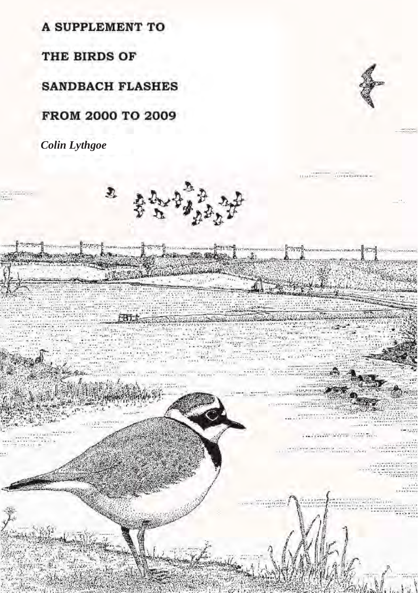A SUPPLEMENT TO

THE BIRDS OF

**SANDBACH FLASHES** 

FROM 2000 TO 2009

*Colin Lythgoe*

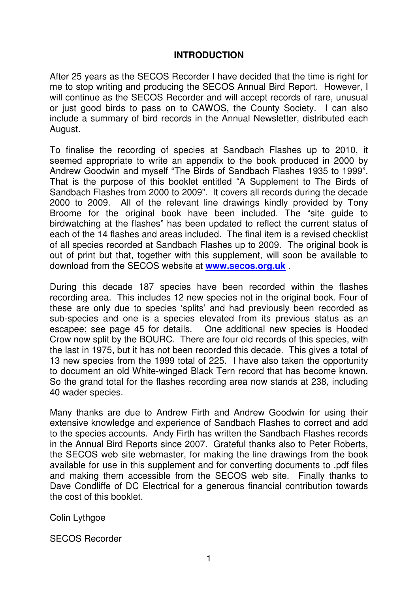### **INTRODUCTION**

After 25 years as the SECOS Recorder I have decided that the time is right for me to stop writing and producing the SECOS Annual Bird Report. However, I will continue as the SECOS Recorder and will accept records of rare, unusual or just good birds to pass on to CAWOS, the County Society. I can also include a summary of bird records in the Annual Newsletter, distributed each August.

To finalise the recording of species at Sandbach Flashes up to 2010, it seemed appropriate to write an appendix to the book produced in 2000 by Andrew Goodwin and myself "The Birds of Sandbach Flashes 1935 to 1999". That is the purpose of this booklet entitled "A Supplement to The Birds of Sandbach Flashes from 2000 to 2009". It covers all records during the decade 2000 to 2009. All of the relevant line drawings kindly provided by Tony Broome for the original book have been included. The "site guide to birdwatching at the flashes" has been updated to reflect the current status of each of the 14 flashes and areas included. The final item is a revised checklist of all species recorded at Sandbach Flashes up to 2009. The original book is out of print but that, together with this supplement, will soon be available to download from the SECOS website at **www.secos.org.uk** .

During this decade 187 species have been recorded within the flashes recording area. This includes 12 new species not in the original book. Four of these are only due to species 'splits' and had previously been recorded as sub-species and one is a species elevated from its previous status as an escapee; see page 45 for details. One additional new species is Hooded Crow now split by the BOURC. There are four old records of this species, with the last in 1975, but it has not been recorded this decade. This gives a total of 13 new species from the 1999 total of 225. I have also taken the opportunity to document an old White-winged Black Tern record that has become known. So the grand total for the flashes recording area now stands at 238, including 40 wader species.

Many thanks are due to Andrew Firth and Andrew Goodwin for using their extensive knowledge and experience of Sandbach Flashes to correct and add to the species accounts. Andy Firth has written the Sandbach Flashes records in the Annual Bird Reports since 2007. Grateful thanks also to Peter Roberts, the SECOS web site webmaster, for making the line drawings from the book available for use in this supplement and for converting documents to .pdf files and making them accessible from the SECOS web site. Finally thanks to Dave Condliffe of DC Electrical for a generous financial contribution towards the cost of this booklet.

Colin Lythgoe

SECOS Recorder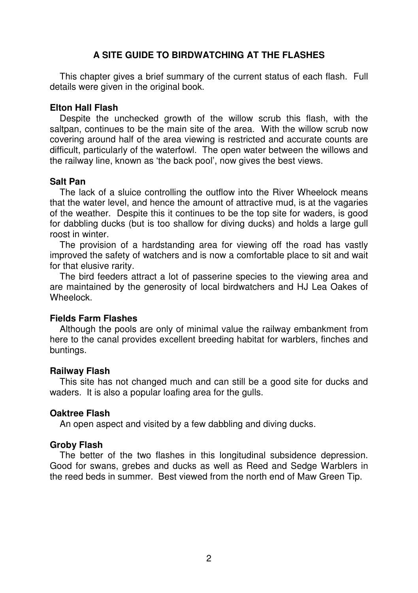# **A SITE GUIDE TO BIRDWATCHING AT THE FLASHES**

 This chapter gives a brief summary of the current status of each flash. Full details were given in the original book.

### **Elton Hall Flash**

 Despite the unchecked growth of the willow scrub this flash, with the saltpan, continues to be the main site of the area. With the willow scrub now covering around half of the area viewing is restricted and accurate counts are difficult, particularly of the waterfowl. The open water between the willows and the railway line, known as 'the back pool', now gives the best views.

### **Salt Pan**

 The lack of a sluice controlling the outflow into the River Wheelock means that the water level, and hence the amount of attractive mud, is at the vagaries of the weather. Despite this it continues to be the top site for waders, is good for dabbling ducks (but is too shallow for diving ducks) and holds a large gull roost in winter.

 The provision of a hardstanding area for viewing off the road has vastly improved the safety of watchers and is now a comfortable place to sit and wait for that elusive rarity.

 The bird feeders attract a lot of passerine species to the viewing area and are maintained by the generosity of local birdwatchers and HJ Lea Oakes of Wheelock.

### **Fields Farm Flashes**

 Although the pools are only of minimal value the railway embankment from here to the canal provides excellent breeding habitat for warblers, finches and buntings.

### **Railway Flash**

 This site has not changed much and can still be a good site for ducks and waders. It is also a popular loafing area for the gulls.

### **Oaktree Flash**

An open aspect and visited by a few dabbling and diving ducks.

### **Groby Flash**

 The better of the two flashes in this longitudinal subsidence depression. Good for swans, grebes and ducks as well as Reed and Sedge Warblers in the reed beds in summer. Best viewed from the north end of Maw Green Tip.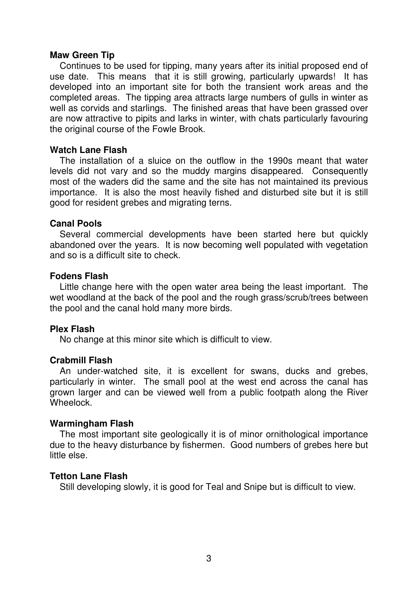### **Maw Green Tip**

 Continues to be used for tipping, many years after its initial proposed end of use date. This means that it is still growing, particularly upwards! It has developed into an important site for both the transient work areas and the completed areas. The tipping area attracts large numbers of gulls in winter as well as corvids and starlings. The finished areas that have been grassed over are now attractive to pipits and larks in winter, with chats particularly favouring the original course of the Fowle Brook.

### **Watch Lane Flash**

 The installation of a sluice on the outflow in the 1990s meant that water levels did not vary and so the muddy margins disappeared. Consequently most of the waders did the same and the site has not maintained its previous importance. It is also the most heavily fished and disturbed site but it is still good for resident grebes and migrating terns.

### **Canal Pools**

 Several commercial developments have been started here but quickly abandoned over the years. It is now becoming well populated with vegetation and so is a difficult site to check.

### **Fodens Flash**

 Little change here with the open water area being the least important. The wet woodland at the back of the pool and the rough grass/scrub/trees between the pool and the canal hold many more birds.

### **Plex Flash**

No change at this minor site which is difficult to view.

### **Crabmill Flash**

 An under-watched site, it is excellent for swans, ducks and grebes, particularly in winter. The small pool at the west end across the canal has grown larger and can be viewed well from a public footpath along the River Wheelock.

### **Warmingham Flash**

 The most important site geologically it is of minor ornithological importance due to the heavy disturbance by fishermen. Good numbers of grebes here but little else.

### **Tetton Lane Flash**

Still developing slowly, it is good for Teal and Snipe but is difficult to view.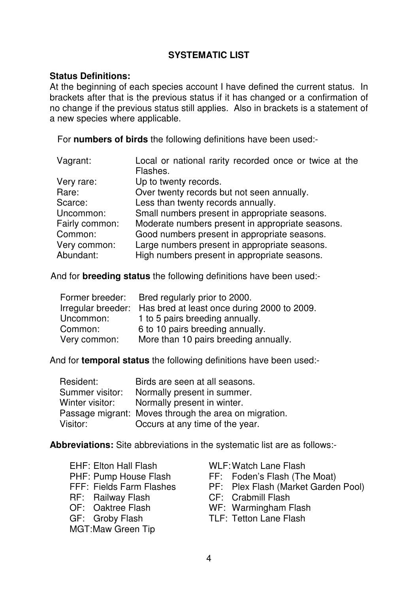# **SYSTEMATIC LIST**

### **Status Definitions:**

At the beginning of each species account I have defined the current status. In brackets after that is the previous status if it has changed or a confirmation of no change if the previous status still applies. Also in brackets is a statement of a new species where applicable.

For **numbers of birds** the following definitions have been used:-

| Vagrant:       | Local or national rarity recorded once or twice at the |
|----------------|--------------------------------------------------------|
|                | Flashes.                                               |
| Very rare:     | Up to twenty records.                                  |
| Rare:          | Over twenty records but not seen annually.             |
| Scarce:        | Less than twenty records annually.                     |
| Uncommon:      | Small numbers present in appropriate seasons.          |
| Fairly common: | Moderate numbers present in appropriate seasons.       |
| Common:        | Good numbers present in appropriate seasons.           |
| Very common:   | Large numbers present in appropriate seasons.          |
| Abundant:      | High numbers present in appropriate seasons.           |

And for **breeding status** the following definitions have been used:-

| Former breeder:    | Bred regularly prior to 2000.               |
|--------------------|---------------------------------------------|
| Irregular breeder: | Has bred at least once during 2000 to 2009. |
| Uncommon:          | 1 to 5 pairs breeding annually.             |
| Common:            | 6 to 10 pairs breeding annually.            |
| Very common:       | More than 10 pairs breeding annually.       |

And for **temporal status** the following definitions have been used:-

| Resident:       | Birds are seen at all seasons.                        |
|-----------------|-------------------------------------------------------|
| Summer visitor: | Normally present in summer.                           |
| Winter visitor: | Normally present in winter.                           |
|                 | Passage migrant: Moves through the area on migration. |
| Visitor:        | Occurs at any time of the year.                       |

**Abbreviations:** Site abbreviations in the systematic list are as follows:-

| <b>EHF: Elton Hall Flash</b> |
|------------------------------|
| PHF: Pump House Flash        |
| FFF: Fields Farm Flashes     |
| RF: Railway Flash            |
| OF: Oaktree Flash            |
| GF: Groby Flash              |
| MGT:Maw Green Tip            |

- WLF: Watch Lane Flash
- FF: Foden's Flash (The Moat)
- PF: Plex Flash (Market Garden Pool)
- CF: Crabmill Flash
- WF: Warmingham Flash
- TLF: Tetton Lane Flash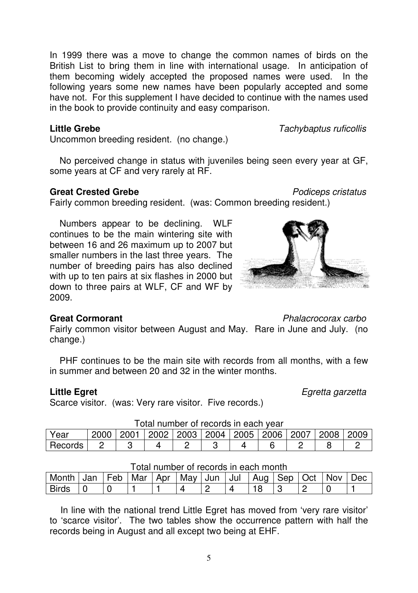In line with the national trend Little Egret has moved from 'very rare visitor' to 'scarce visitor'. The two tables show the occurrence pattern with half the records being in August and all except two being at EHF.

Month | Jan | Feb | Mar | Apr | May | Jun | Jul | Aug | Sep | Oct | Nov | Dec Birds 0 0 1 1 4 2 4 18 3 2 0 1

5

In 1999 there was a move to change the common names of birds on the British List to bring them in line with international usage. In anticipation of them becoming widely accepted the proposed names were used. In the following years some new names have been popularly accepted and some have not. For this supplement I have decided to continue with the names used in the book to provide continuity and easy comparison.

Uncommon breeding resident. (no change.)

 No perceived change in status with juveniles being seen every year at GF, some years at CF and very rarely at RF.

# **Great Crested Grebe Podiceps cristatus**

Fairly common breeding resident. (was: Common breeding resident.)

 Numbers appear to be declining. WLF continues to be the main wintering site with between 16 and 26 maximum up to 2007 but smaller numbers in the last three years. The number of breeding pairs has also declined with up to ten pairs at six flashes in 2000 but down to three pairs at WLF, CF and WF by 2009.

# **Great Cormorant Community Constant** *Phalacrocorax carbo*

Fairly common visitor between August and May. Rare in June and July. (no change.)

 PHF continues to be the main site with records from all months, with a few in summer and between 20 and 32 in the winter months.

Scarce visitor. (was: Very rare visitor. Five records.)

| Records 2 3 4 2 3 4 6 2 8 2 |  |  |  |  |  |
|-----------------------------|--|--|--|--|--|
|                             |  |  |  |  |  |

Total number of records in each year Year 2000 2001 2002 2003 2004 2005 2006 2007 2008 2009



# **Little Grebe** Tachybaptus ruficollis

**Little Egret** Equal Equal Equation of the Equation of the Equation of Equation Equation Equation of Equation of Equation of Equation of Equation of Equation of Equation of Equation of Equation of Equation of Equation of E

Total number of records in each month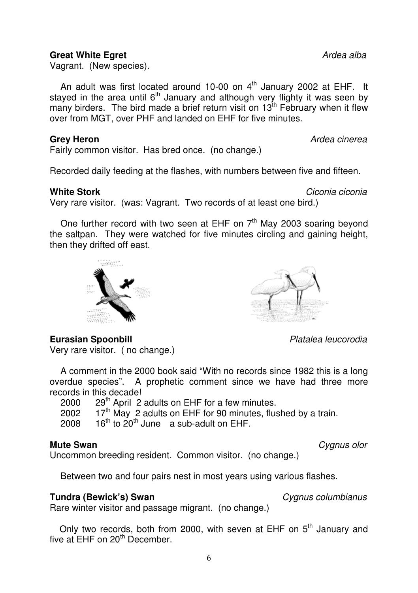6

# **Great White Egret Ardea alba**

Vagrant. (New species).

An adult was first located around 10-00 on  $4<sup>th</sup>$  January 2002 at EHF. It stayed in the area until  $6<sup>th</sup>$  January and although very flighty it was seen by many birders. The bird made a brief return visit on  $13^{th}$  February when it flew over from MGT, over PHF and landed on EHF for five minutes.

Fairly common visitor. Has bred once. (no change.)

Recorded daily feeding at the flashes, with numbers between five and fifteen.

# **White Stork**  Ciconia ciconia component **Component Component Ciconia** ciconia ciconia

Very rare visitor. (was: Vagrant. Two records of at least one bird.)

One further record with two seen at EHF on  $7<sup>th</sup>$  May 2003 soaring beyond the saltpan. They were watched for five minutes circling and gaining height, then they drifted off east.

**Eurasian Spoonbill Contract Contract Contract Contract Platalea leucorodia** 

Very rare visitor. ( no change.)

 A comment in the 2000 book said "With no records since 1982 this is a long overdue species". A prophetic comment since we have had three more records in this decade!<br>2000  $29<sup>th</sup>$  April 2

 $29<sup>th</sup>$  April 2 adults on EHF for a few minutes.

- 2002 17<sup>th</sup> May 2 adults on EHF for 90 minutes, flushed by a train.<br>2008 16<sup>th</sup> to 20<sup>th</sup> June a sub-adult on FHF.
- $16<sup>th</sup>$  to  $20<sup>th</sup>$  June a sub-adult on FHF.

# **Mute Swan** Cygnus olor

Uncommon breeding resident. Common visitor. (no change.)

Between two and four pairs nest in most years using various flashes.

# **Tundra (Bewick's) Swan Cygnus columbianus** *Cygnus columbianus*

Rare winter visitor and passage migrant. (no change.)

Only two records, both from 2000, with seven at EHF on  $5<sup>th</sup>$  January and five at EHF on 20<sup>th</sup> December.





**Grey Heron Grey Heron Ardea** cinerea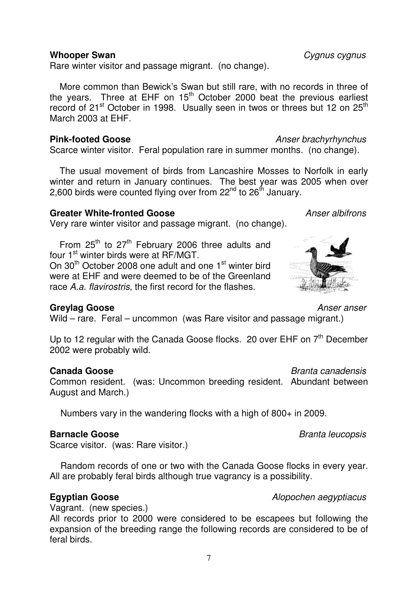### **Whooper Swan Cygnus cygnus**

Rare winter visitor and passage migrant. (no change).

 More common than Bewick's Swan but still rare, with no records in three of the years. Three at EHF on  $15<sup>th</sup>$  October 2000 beat the previous earliest record of 21<sup>st</sup> October in 1998. Usually seen in twos or threes but 12 on 25<sup>th</sup> March 2003 at EHF.

### **Pink-footed Goose** Anser brachyrhynchus

Scarce winter visitor. Feral population rare in summer months. (no change).

 The usual movement of birds from Lancashire Mosses to Norfolk in early winter and return in January continues. The best year was 2005 when over 2.600 birds were counted flying over from  $22^{nd}$  to  $26^{th}$  January.

# **Greater White-fronted Goose** Anser albifrons

Very rare winter visitor and passage migrant. (no change).

From  $25<sup>th</sup>$  to  $27<sup>th</sup>$  February 2006 three adults and four 1<sup>st</sup> winter birds were at RF/MGT. On 30<sup>th</sup> October 2008 one adult and one 1<sup>st</sup> winter bird were at EHF and were deemed to be of the Greenland race A.a. flavirostris, the first record for the flashes.

### **Greylag Goose** Anser anser

Wild – rare. Feral – uncommon (was Rare visitor and passage migrant.)

Up to 12 regular with the Canada Goose flocks. 20 over EHF on  $7<sup>th</sup>$  December 2002 were probably wild.

### **Canada Goose Branta canadensis**

Common resident. (was: Uncommon breeding resident. Abundant between August and March.)

Numbers vary in the wandering flocks with a high of 800+ in 2009.

### **Barnacle Goose** Branta leucopsis

Scarce visitor. (was: Rare visitor.)

 Random records of one or two with the Canada Goose flocks in every year. All are probably feral birds although true vagrancy is a possibility.

### **Egyptian Goose Alopochen aegyptiacus**

Vagrant. (new species.)

All records prior to 2000 were considered to be escapees but following the expansion of the breeding range the following records are considered to be of feral birds.

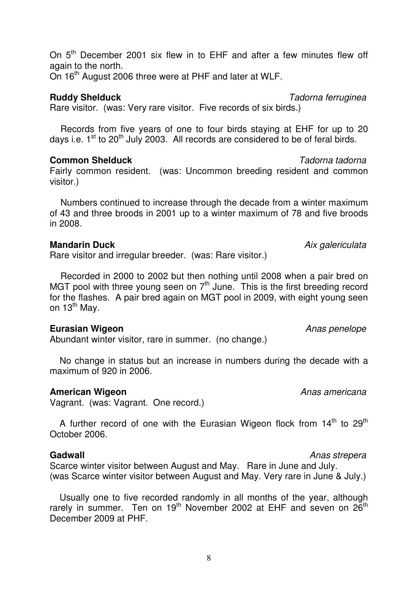On  $5<sup>th</sup>$  December 2001 six flew in to EHF and after a few minutes flew off again to the north.

On 16<sup>th</sup> August 2006 three were at PHF and later at WLF.

# **Ruddy Shelduck** Tadorna ferruginea

Rare visitor. (was: Very rare visitor. Five records of six birds.)

 Records from five years of one to four birds staying at EHF for up to 20 days i.e.  $1^{st}$  to  $20^{th}$  July 2003. All records are considered to be of feral birds.

## **Common Shelduck** Tadorna tadorna

Fairly common resident. (was: Uncommon breeding resident and common visitor.)

 Numbers continued to increase through the decade from a winter maximum of 43 and three broods in 2001 up to a winter maximum of 78 and five broods in 2008.

### **Mandarin Duck Aix galericulata** Aix galericulata

Rare visitor and irregular breeder. (was: Rare visitor.)

 Recorded in 2000 to 2002 but then nothing until 2008 when a pair bred on MGT pool with three young seen on  $7<sup>th</sup>$  June. This is the first breeding record for the flashes. A pair bred again on MGT pool in 2009, with eight young seen on 13<sup>th</sup> May.

### **Eurasian Wigeon Anas penelope Anas penelope Anas penelope**

Abundant winter visitor, rare in summer. (no change.)

 No change in status but an increase in numbers during the decade with a maximum of 920 in 2006.

# **American Wigeon Anas americana**

Vagrant. (was: Vagrant. One record.)

A further record of one with the Eurasian Wigeon flock from  $14<sup>th</sup>$  to  $29<sup>th</sup>$ October 2006.

### **Gadwall Gadwall Gadwall Anas strepera**

Scarce winter visitor between August and May. Rare in June and July. (was Scarce winter visitor between August and May. Very rare in June & July.)

 Usually one to five recorded randomly in all months of the year, although rarely in summer. Ten on 19<sup>th</sup> November 2002 at FHF and seven on  $26^{th}$ December 2009 at PHF.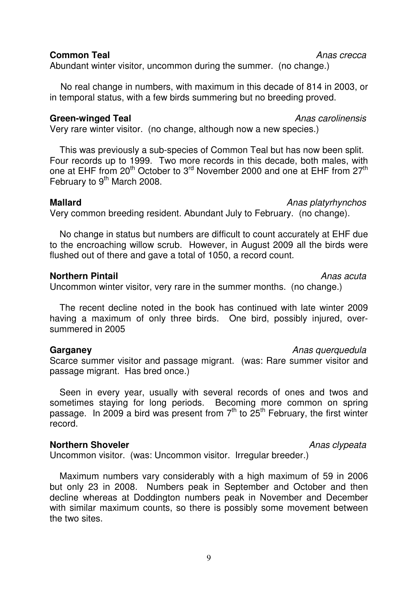### **Common Teal** Anas crecca

Abundant winter visitor, uncommon during the summer. (no change.)

 No real change in numbers, with maximum in this decade of 814 in 2003, or in temporal status, with a few birds summering but no breeding proved.

### **Green-winged Teal Anas carolinensis**

Very rare winter visitor. (no change, although now a new species.)

 This was previously a sub-species of Common Teal but has now been split. Four records up to 1999. Two more records in this decade, both males, with one at EHF from 20<sup>th</sup> October to 3<sup>rd</sup> November 2000 and one at EHF from 27<sup>th</sup> February to 9<sup>th</sup> March 2008.

### **Mallard Mallard Anas platyrhynchos**

Very common breeding resident. Abundant July to February. (no change).

 No change in status but numbers are difficult to count accurately at EHF due to the encroaching willow scrub. However, in August 2009 all the birds were flushed out of there and gave a total of 1050, a record count.

### **Northern Pintail** Anas acuta

Uncommon winter visitor, very rare in the summer months. (no change.)

 The recent decline noted in the book has continued with late winter 2009 having a maximum of only three birds. One bird, possibly injured, oversummered in 2005

### **Garganey Garganey Anas querquedula Anas querquedula**

Scarce summer visitor and passage migrant. (was: Rare summer visitor and passage migrant. Has bred once.)

 Seen in every year, usually with several records of ones and twos and sometimes staying for long periods. Becoming more common on spring passage. In 2009 a bird was present from  $7<sup>th</sup>$  to  $25<sup>th</sup>$  February, the first winter record.

### **Northern Shoveler Anas clypeata**

Uncommon visitor. (was: Uncommon visitor. Irregular breeder.)

 Maximum numbers vary considerably with a high maximum of 59 in 2006 but only 23 in 2008. Numbers peak in September and October and then decline whereas at Doddington numbers peak in November and December with similar maximum counts, so there is possibly some movement between the two sites.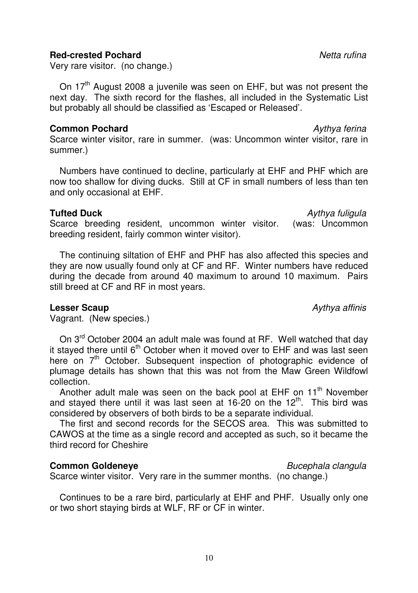### **Red-crested Pochard Netta rufina**

Very rare visitor. (no change.)

On 17<sup>th</sup> August 2008 a juvenile was seen on EHF, but was not present the next day. The sixth record for the flashes, all included in the Systematic List but probably all should be classified as 'Escaped or Released'.

### **Common Pochard Common Pochard Aythya ferina**

Scarce winter visitor, rare in summer. (was: Uncommon winter visitor, rare in summer.)

 Numbers have continued to decline, particularly at EHF and PHF which are now too shallow for diving ducks. Still at CF in small numbers of less than ten and only occasional at EHF.

## **Tufted Duck** Aythya fuligula

Scarce breeding resident, uncommon winter visitor. (was: Uncommon breeding resident, fairly common winter visitor).

 The continuing siltation of EHF and PHF has also affected this species and they are now usually found only at CF and RF. Winter numbers have reduced during the decade from around 40 maximum to around 10 maximum. Pairs still breed at CF and RF in most years.

### **Lesser Scaup Aythya affinis Aythya affinis**

Vagrant. (New species.)

On 3<sup>rd</sup> October 2004 an adult male was found at RF. Well watched that day it stayed there until  $6<sup>th</sup>$  October when it moved over to EHF and was last seen here on  $7<sup>th</sup>$  October. Subsequent inspection of photographic evidence of plumage details has shown that this was not from the Maw Green Wildfowl collection.

Another adult male was seen on the back pool at EHF on  $11<sup>th</sup>$  November and stayed there until it was last seen at  $16-20$  on the  $12<sup>th</sup>$ . This bird was considered by observers of both birds to be a separate individual.

 The first and second records for the SECOS area. This was submitted to CAWOS at the time as a single record and accepted as such, so it became the third record for Cheshire

### **Common Goldeneye Bucephala clangula**

Scarce winter visitor. Very rare in the summer months. (no change.)

 Continues to be a rare bird, particularly at EHF and PHF. Usually only one or two short staying birds at WLF, RF or CF in winter.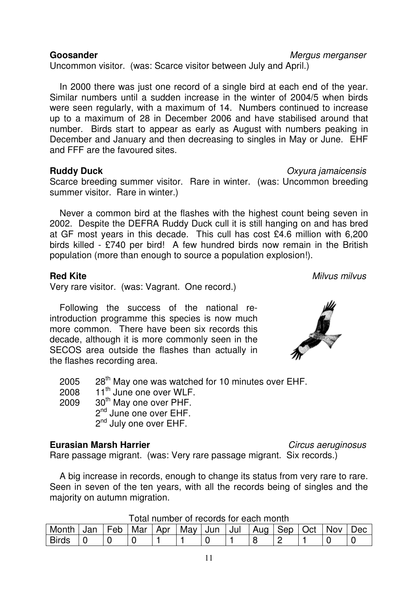Uncommon visitor. (was: Scarce visitor between July and April.)

 In 2000 there was just one record of a single bird at each end of the year. Similar numbers until a sudden increase in the winter of 2004/5 when birds were seen regularly, with a maximum of 14. Numbers continued to increase up to a maximum of 28 in December 2006 and have stabilised around that number. Birds start to appear as early as August with numbers peaking in December and January and then decreasing to singles in May or June. EHF and FFF are the favoured sites.

### **Ruddy Duck** Oxyura jamaicensis

Scarce breeding summer visitor. Rare in winter. (was: Uncommon breeding summer visitor. Rare in winter.)

 Never a common bird at the flashes with the highest count being seven in 2002. Despite the DEFRA Ruddy Duck cull it is still hanging on and has bred at GF most years in this decade. This cull has cost £4.6 million with 6,200 birds killed - £740 per bird! A few hundred birds now remain in the British population (more than enough to source a population explosion!).

## **Red Kite** Milvus milvus milvus milvus milvus milvus milvus milvus milvus milvus milvus milvus milvus milvus milvus milvus milvus milvus milvus milvus milvus milvus milvus milvus milvus milvus milvus milvus milvus milvus m

Very rare visitor. (was: Vagrant. One record.)

 Following the success of the national reintroduction programme this species is now much more common. There have been six records this decade, although it is more commonly seen in the SECOS area outside the flashes than actually in the flashes recording area.

2005 28<sup>th</sup> May one was watched for 10 minutes over EHF.

2008  $11^{\text{th}}$  June one over WLF.<br>2009  $30^{\text{th}}$  May one over PHF

 $30<sup>th</sup>$  May one over PHF.

2<sup>nd</sup> June one over EHF. 2<sup>nd</sup> July one over EHF.

# **Eurasian Marsh Harrier** Circus aeruginosus

Rare passage migrant. (was: Very rare passage migrant. Six records.)

 A big increase in records, enough to change its status from very rare to rare. Seen in seven of the ten years, with all the records being of singles and the majority on autumn migration.

Total number of records for each month

| <u> הטווטו ווטגט וטו טטטטו עט וסמוזומוניו</u> |     |     |     |     |     |     |     |     |     |     |     |     |
|-----------------------------------------------|-----|-----|-----|-----|-----|-----|-----|-----|-----|-----|-----|-----|
| Month                                         | Jan | Feb | Mar | Apr | Mav | Jun | Jul | Aua | Sep | Oct | Nov | Jec |
| <b>Birds</b>                                  |     |     |     |     |     |     |     |     |     |     |     |     |



**Goosander** Mergus merganser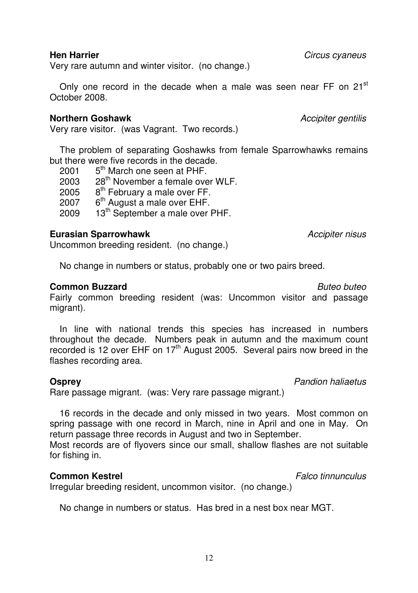Very rare autumn and winter visitor. (no change.)

Only one record in the decade when a male was seen near FF on  $21<sup>st</sup>$ October 2008.

### **Northern Goshawk** Accipiter gentilis

Very rare visitor. (was Vagrant. Two records.)

 The problem of separating Goshawks from female Sparrowhawks remains but there were five records in the decade.

| 2001 | 5 <sup>th</sup> March one seen at PHF.       |
|------|----------------------------------------------|
| 2003 | 28 <sup>th</sup> November a female over WLF. |
| 2005 | 8 <sup>th</sup> February a male over FF.     |
| 2007 | 6 <sup>th</sup> August a male over EHF.      |
| 2009 | 13 <sup>th</sup> September a male over PHF.  |
|      |                                              |

### **Eurasian Sparrowhawk Accipiter nisus** Accipiter nisus

Uncommon breeding resident. (no change.)

No change in numbers or status, probably one or two pairs breed.

### **Common Buzzard** Buteo buteo **Buteo buteo**

Fairly common breeding resident (was: Uncommon visitor and passage migrant).

 In line with national trends this species has increased in numbers throughout the decade. Numbers peak in autumn and the maximum count recorded is 12 over EHF on 17<sup>th</sup> August 2005. Several pairs now breed in the flashes recording area.

### **Osprey COSPREY**

Rare passage migrant. (was: Very rare passage migrant.)

 16 records in the decade and only missed in two years. Most common on spring passage with one record in March, nine in April and one in May. On return passage three records in August and two in September.

Most records are of flyovers since our small, shallow flashes are not suitable for fishing in.

### **Common Kestrel Common Kestrel Ealco tinnunculus**

Irregular breeding resident, uncommon visitor. (no change.)

No change in numbers or status. Has bred in a nest box near MGT.

**Hen Harrier Hen Harrier Circus** cyaneus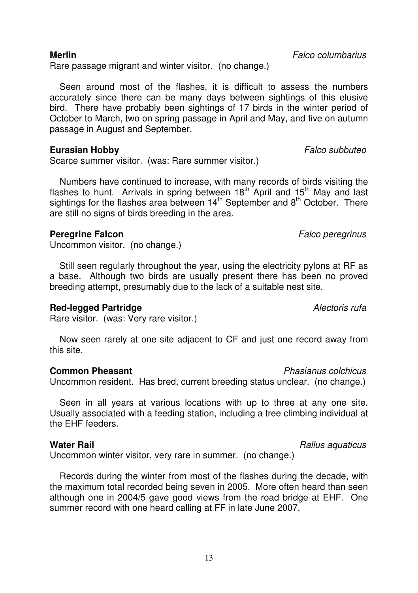Rare passage migrant and winter visitor. (no change.)

 Seen around most of the flashes, it is difficult to assess the numbers accurately since there can be many days between sightings of this elusive bird. There have probably been sightings of 17 birds in the winter period of October to March, two on spring passage in April and May, and five on autumn passage in August and September.

### **Eurasian Hobby Falco subbuteo Falco subbuteo**

Scarce summer visitor. (was: Rare summer visitor.)

 Numbers have continued to increase, with many records of birds visiting the flashes to hunt. Arrivals in spring between  $18<sup>th</sup>$  April and  $15<sup>th</sup>$  May and last sightings for the flashes area between 14<sup>th</sup> September and 8<sup>th</sup> October. There are still no signs of birds breeding in the area.

### **Peregrine Falcon Peregrinus**

Uncommon visitor. (no change.)

 Still seen regularly throughout the year, using the electricity pylons at RF as a base. Although two birds are usually present there has been no proved breeding attempt, presumably due to the lack of a suitable nest site.

### **Red-legged Partridge** Alectoris rufa

Rare visitor. (was: Very rare visitor.)

 Now seen rarely at one site adjacent to CF and just one record away from this site.

### **Common Pheasant Common Pheasant** Phasianus colchicus

Uncommon resident. Has bred, current breeding status unclear. (no change.)

Seen in all years at various locations with up to three at any one site. Usually associated with a feeding station, including a tree climbing individual at the EHF feeders.

### **Water Rail** Rallus aquaticus **Rallus** aquaticus

Uncommon winter visitor, very rare in summer. (no change.)

 Records during the winter from most of the flashes during the decade, with the maximum total recorded being seven in 2005. More often heard than seen although one in 2004/5 gave good views from the road bridge at EHF. One summer record with one heard calling at FF in late June 2007.

**Merlin** Falco columbarius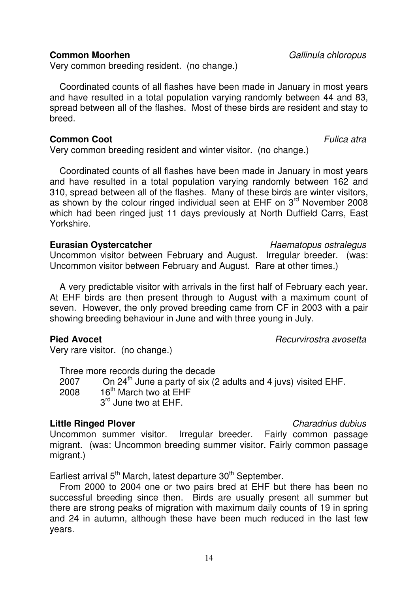### **Common Moorhen** Gallinula chloropus

Very common breeding resident. (no change.)

 Coordinated counts of all flashes have been made in January in most years and have resulted in a total population varying randomly between 44 and 83, spread between all of the flashes. Most of these birds are resident and stay to breed.

### **Common Coot Common Coot Fullica** atra

Very common breeding resident and winter visitor. (no change.)

 Coordinated counts of all flashes have been made in January in most years and have resulted in a total population varying randomly between 162 and 310, spread between all of the flashes. Many of these birds are winter visitors, as shown by the colour ringed individual seen at EHF on 3<sup>rd</sup> November 2008 which had been ringed just 11 days previously at North Duffield Carrs, East Yorkshire.

### **Eurasian Oystercatcher**  The Magnus ostralegus **Eurasian Oystercatcher Haematopus ostralegus**

Uncommon visitor between February and August. Irregular breeder. (was: Uncommon visitor between February and August. Rare at other times.)

 A very predictable visitor with arrivals in the first half of February each year. At EHF birds are then present through to August with a maximum count of seven. However, the only proved breeding came from CF in 2003 with a pair showing breeding behaviour in June and with three young in July.

### **Pied Avocet Recurvirostra avosetta**

Very rare visitor. (no change.)

 Three more records during the decade 2007 On 24<sup>th</sup> June a party of six (2 adults and 4 juvs) visited EHF. 2008 16<sup>th</sup> March two at FHF 3<sup>rd</sup> June two at FHF.

# **Little Ringed Plover** Charadrius dubius Charadrius dubius Charadrius dubius Charadrius dubius **Charadrius** dubius

Uncommon summer visitor. Irregular breeder. Fairly common passage migrant. (was: Uncommon breeding summer visitor. Fairly common passage migrant.)

Earliest arrival 5<sup>th</sup> March, latest departure 30<sup>th</sup> September.

 From 2000 to 2004 one or two pairs bred at EHF but there has been no successful breeding since then. Birds are usually present all summer but there are strong peaks of migration with maximum daily counts of 19 in spring and 24 in autumn, although these have been much reduced in the last few years.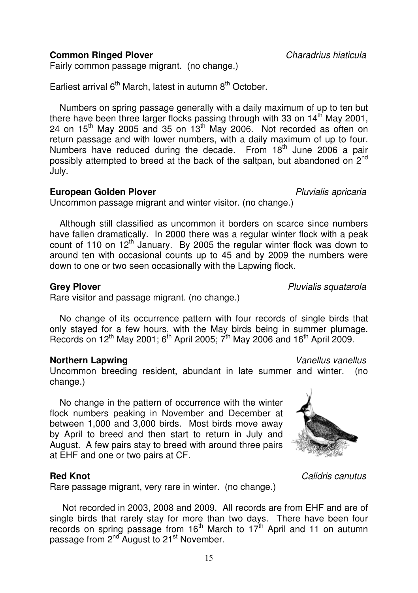**Common Ringed Plover** Charadrius hiaticula

Fairly common passage migrant. (no change.)

Earliest arrival  $6<sup>th</sup>$  March, latest in autumn  $8<sup>th</sup>$  October.

 Numbers on spring passage generally with a daily maximum of up to ten but there have been three larger flocks passing through with 33 on  $14<sup>th</sup>$  May 2001, 24 on  $15<sup>th</sup>$  May 2005 and 35 on  $13<sup>th</sup>$  May 2006. Not recorded as often on return passage and with lower numbers, with a daily maximum of up to four. Numbers have reduced during the decade. From 18<sup>th</sup> June 2006 a pair possibly attempted to breed at the back of the saltpan, but abandoned on 2<sup>nd</sup> July.

### **European Golden Plover** Pluvialis apricaria

Uncommon passage migrant and winter visitor. (no change.)

 Although still classified as uncommon it borders on scarce since numbers have fallen dramatically. In 2000 there was a regular winter flock with a peak count of 110 on 12<sup>th</sup> January. By 2005 the regular winter flock was down to around ten with occasional counts up to 45 and by 2009 the numbers were down to one or two seen occasionally with the Lapwing flock.

### **Grey Plover Contract Contract Contract Contract Contract Pluvialis squatarola** *Pluvialis squatarola*

Rare visitor and passage migrant. (no change.)

 No change of its occurrence pattern with four records of single birds that only stayed for a few hours, with the May birds being in summer plumage. Records on  $12^{th}$  May 2001;  $6^{th}$  April 2005;  $7^{th}$  May 2006 and  $16^{th}$  April 2009.

### **Northern Lapwing Vanellus vanellus Vanellus vanellus**

Uncommon breeding resident, abundant in late summer and winter. (no change.)

 No change in the pattern of occurrence with the winter flock numbers peaking in November and December at between 1,000 and 3,000 birds. Most birds move away by April to breed and then start to return in July and August. A few pairs stay to breed with around three pairs at EHF and one or two pairs at CF.

### **Red Knot** Calidris canutus

Rare passage migrant, very rare in winter. (no change.)

 Not recorded in 2003, 2008 and 2009. All records are from EHF and are of single birds that rarely stay for more than two days. There have been four records on spring passage from 16<sup>th</sup> March to 17<sup>th</sup> April and 11 on autumn passage from 2<sup>nd</sup> August to 21<sup>st</sup> November.

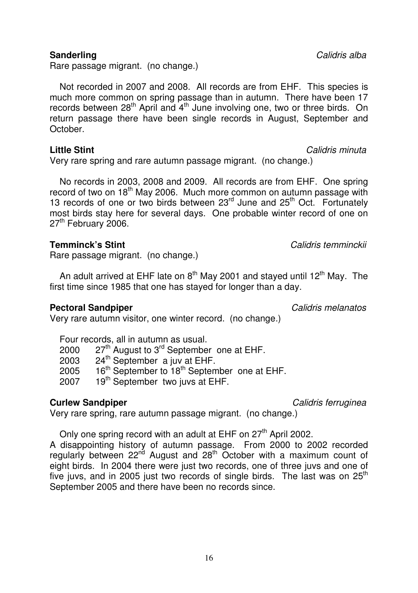Rare passage migrant. (no change.)

 Not recorded in 2007 and 2008. All records are from EHF. This species is much more common on spring passage than in autumn. There have been 17 records between 28<sup>th</sup> April and 4<sup>th</sup> June involving one, two or three birds. On return passage there have been single records in August, September and October.

### **Little Stint** Calidris minuta

Very rare spring and rare autumn passage migrant. (no change.)

 No records in 2003, 2008 and 2009. All records are from EHF. One spring record of two on 18<sup>th</sup> May 2006. Much more common on autumn passage with 13 records of one or two birds between 23<sup>rd</sup> June and 25<sup>th</sup> Oct. Fortunately most birds stay here for several days. One probable winter record of one on 27<sup>th</sup> February 2006.

Rare passage migrant. (no change.)

An adult arrived at EHF late on  $8<sup>th</sup>$  May 2001 and stayed until 12<sup>th</sup> May. The first time since 1985 that one has stayed for longer than a day.

# **Pectoral Sandpiper Calidris melanatos Calidris melanatos**

Very rare autumn visitor, one winter record. (no change.)

|  |  | Four records, all in autumn as usual. |
|--|--|---------------------------------------|
|  |  |                                       |

| 2000 | $27th$ August to 3 <sup>rd</sup> September one at EHF. |  |
|------|--------------------------------------------------------|--|
|------|--------------------------------------------------------|--|

- 2003 24<sup>th</sup> September a juv at EHF.
	- 2005 16<sup>th</sup> September to 18<sup>th</sup> September one at EHF.<br>2007 19<sup>th</sup> September two juys at FHF.
	- 19<sup>th</sup> September two juvs at EHF.

# **Curlew Sandpiper Calidris ferruginea**

Very rare spring, rare autumn passage migrant. (no change.)

Only one spring record with an adult at EHF on 27<sup>th</sup> April 2002.

A disappointing history of autumn passage. From 2000 to 2002 recorded regularly between  $22^{nd}$  August and  $28^{th}$  October with a maximum count of eight birds. In 2004 there were just two records, one of three juvs and one of five juvs, and in 2005 just two records of single birds. The last was on  $25<sup>th</sup>$ September 2005 and there have been no records since.

**Sanderling** Calidris alba

**Temminck's Stint** Calidris temminckii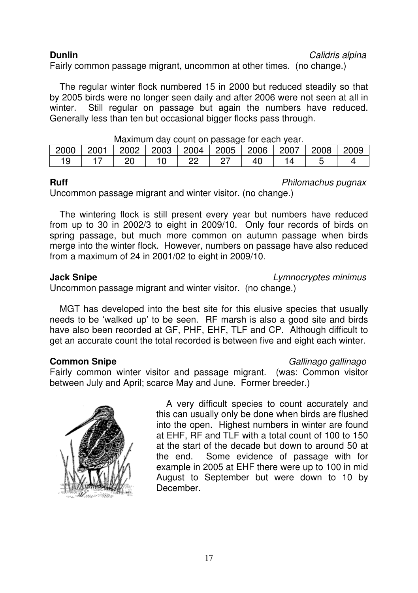**Dunlin** Calidris alpina

Fairly common passage migrant, uncommon at other times. (no change.)

 The regular winter flock numbered 15 in 2000 but reduced steadily so that by 2005 birds were no longer seen daily and after 2006 were not seen at all in winter. Still regular on passage but again the numbers have reduced. Generally less than ten but occasional bigger flocks pass through.

| <u>Maximum day count on passage for each year.</u><br>  2002   2003   2004   2005   2006   2007 |      |  |  |  |  |    |  |      |         |  |  |
|-------------------------------------------------------------------------------------------------|------|--|--|--|--|----|--|------|---------|--|--|
| 2000                                                                                            | 2001 |  |  |  |  |    |  | 2008 | $-2009$ |  |  |
|                                                                                                 |      |  |  |  |  | 40 |  |      |         |  |  |

### Maximum day count on passage for each year.

**Ruff** Philomachus pugnax

Uncommon passage migrant and winter visitor. (no change.)

 The wintering flock is still present every year but numbers have reduced from up to 30 in 2002/3 to eight in 2009/10. Only four records of birds on spring passage, but much more common on autumn passage when birds merge into the winter flock. However, numbers on passage have also reduced from a maximum of 24 in 2001/02 to eight in 2009/10.

**Jack Snipe Lymnocryptes minimus** 

Uncommon passage migrant and winter visitor. (no change.)

 MGT has developed into the best site for this elusive species that usually needs to be 'walked up' to be seen. RF marsh is also a good site and birds have also been recorded at GF, PHF, EHF, TLF and CP. Although difficult to get an accurate count the total recorded is between five and eight each winter.

# **Common Snipe** Gallinago gallinago gallinago gallinago gallinago gallinago gallinago gallinago gallinago gallinago gallinago gallinago gallinago gallinago gallinago gallinago gallinago gallinago gallinago gallinago gallina

Fairly common winter visitor and passage migrant. (was: Common visitor between July and April; scarce May and June. Former breeder.)



 A very difficult species to count accurately and this can usually only be done when birds are flushed into the open. Highest numbers in winter are found at EHF, RF and TLF with a total count of 100 to 150 at the start of the decade but down to around 50 at the end. Some evidence of passage with for example in 2005 at EHF there were up to 100 in mid August to September but were down to 10 by December.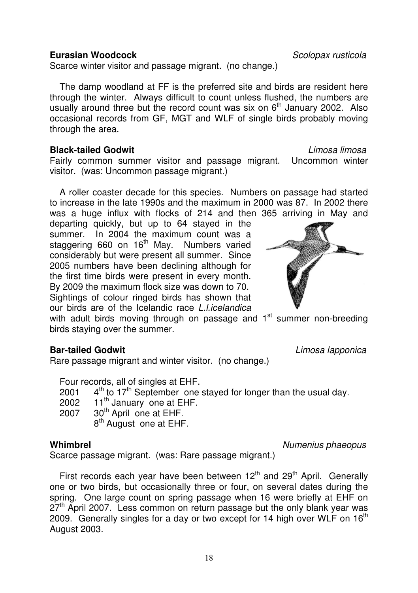### **Eurasian Woodcock** Scolopax rusticola

Scarce winter visitor and passage migrant. (no change.)

 The damp woodland at FF is the preferred site and birds are resident here through the winter. Always difficult to count unless flushed, the numbers are usually around three but the record count was six on  $6<sup>th</sup>$  January 2002. Also occasional records from GF, MGT and WLF of single birds probably moving through the area.

### **Black-tailed Godwit** Communication of the Limosa limosal limosal imposed in the Limosa limosal imposed in the Limosa limosal imposed in the Limosa limosal imposed in the Limosal imposed in the Limosal in the Limosal in th

Fairly common summer visitor and passage migrant. Uncommon winter visitor. (was: Uncommon passage migrant.)

 A roller coaster decade for this species. Numbers on passage had started to increase in the late 1990s and the maximum in 2000 was 87. In 2002 there was a huge influx with flocks of 214 and then 365 arriving in May and

departing quickly, but up to 64 stayed in the summer. In 2004 the maximum count was a staggering 660 on 16<sup>th</sup> May. Numbers varied considerably but were present all summer. Since 2005 numbers have been declining although for the first time birds were present in every month. By 2009 the maximum flock size was down to 70. Sightings of colour ringed birds has shown that our birds are of the Icelandic race L.l.icelandica

with adult birds moving through on passage and  $1<sup>st</sup>$  summer non-breeding birds staying over the summer.

# **Bar-tailed Godwit Contract Contract Contract Contract Contract Contract Contract Contract Contract Contract Contract Contract Contract Contract Contract Contract Contract Contract Contract Contract Contract Contract Con**

Rare passage migrant and winter visitor. (no change.)

 Four records, all of singles at EHF. 2001  $4^{\text{th}}$  to 17<sup>th</sup> September one stayed for longer than the usual day.<br>2002 11<sup>th</sup> January one at FHF.  $11<sup>th</sup>$  January one at EHF. 2007 30<sup>th</sup> April one at EHF. 8<sup>th</sup> August one at EHF.

### **Whimbrel** Numenius phaeopus

Scarce passage migrant. (was: Rare passage migrant.)

First records each year have been between  $12<sup>th</sup>$  and  $29<sup>th</sup>$  April. Generally one or two birds, but occasionally three or four, on several dates during the spring. One large count on spring passage when 16 were briefly at EHF on  $27<sup>th</sup>$  April 2007. Less common on return passage but the only blank year was 2009. Generally singles for a day or two except for 14 high over WLF on  $16<sup>th</sup>$ August 2003.

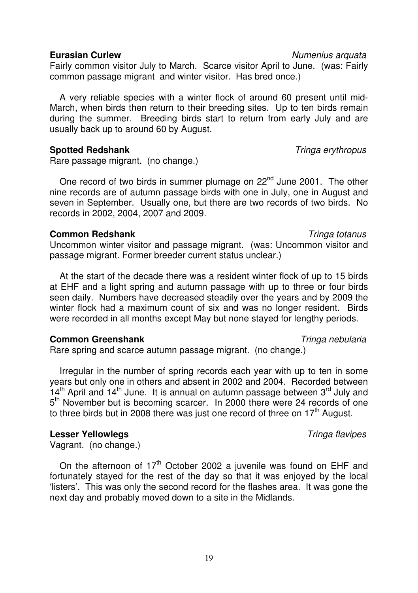**Eurasian Curlew Numenius** arquata

Fairly common visitor July to March. Scarce visitor April to June. (was: Fairly common passage migrant and winter visitor. Has bred once.)

 A very reliable species with a winter flock of around 60 present until mid-March, when birds then return to their breeding sites. Up to ten birds remain during the summer. Breeding birds start to return from early July and are usually back up to around 60 by August.

# **Spotted Redshank** Tringa erythropus

Rare passage migrant. (no change.)

One record of two birds in summer plumage on 22<sup>nd</sup> June 2001. The other nine records are of autumn passage birds with one in July, one in August and seven in September. Usually one, but there are two records of two birds. No records in 2002, 2004, 2007 and 2009.

## **Common Redshank Common Redshank Tringa totanus**

Uncommon winter visitor and passage migrant. (was: Uncommon visitor and passage migrant. Former breeder current status unclear.)

 At the start of the decade there was a resident winter flock of up to 15 birds at EHF and a light spring and autumn passage with up to three or four birds seen daily. Numbers have decreased steadily over the years and by 2009 the winter flock had a maximum count of six and was no longer resident. Birds were recorded in all months except May but none stayed for lengthy periods.

# **Common Greenshank** Tringa nebularia

Rare spring and scarce autumn passage migrant. (no change.)

 Irregular in the number of spring records each year with up to ten in some years but only one in others and absent in 2002 and 2004. Recorded between  $14<sup>th</sup>$  April and  $14<sup>th</sup>$  June. It is annual on autumn passage between  $3<sup>rd</sup>$  July and 5<sup>th</sup> November but is becoming scarcer. In 2000 there were 24 records of one to three birds but in 2008 there was just one record of three on  $17<sup>th</sup>$  August.

# **Lesser Yellowlegs Contract Contract Contract Contract Contract Contract Contract Contract Contract Contract Contract Contract Contract Contract Contract Contract Contract Contract Contract Contract Contract Contract Con**

Vagrant. (no change.)

On the afternoon of  $17<sup>th</sup>$  October 2002 a juvenile was found on EHF and fortunately stayed for the rest of the day so that it was enjoyed by the local 'listers'. This was only the second record for the flashes area. It was gone the next day and probably moved down to a site in the Midlands.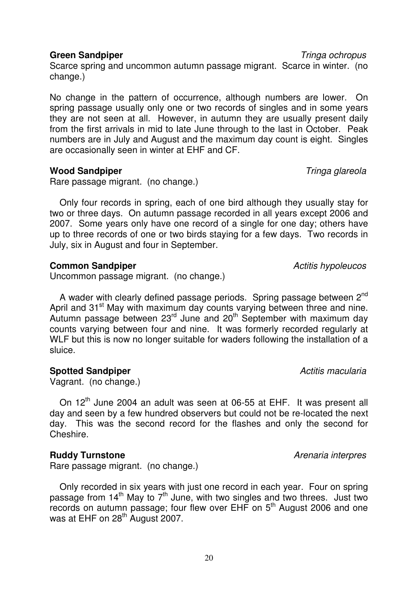**Green Sandpiper** Tringa ochropus **Tringa of Tringa ochropus** 

Scarce spring and uncommon autumn passage migrant. Scarce in winter. (no change.)

No change in the pattern of occurrence, although numbers are lower. On spring passage usually only one or two records of singles and in some years they are not seen at all. However, in autumn they are usually present daily from the first arrivals in mid to late June through to the last in October. Peak numbers are in July and August and the maximum day count is eight. Singles are occasionally seen in winter at EHF and CF.

## **Wood Sandpiper** Tringa glareola

Rare passage migrant. (no change.)

 Only four records in spring, each of one bird although they usually stay for two or three days. On autumn passage recorded in all years except 2006 and 2007. Some years only have one record of a single for one day; others have up to three records of one or two birds staying for a few days. Two records in July, six in August and four in September.

### **Common Sandpiper Common Sandpiper Active Active Active Active Active Active Active Active Active Active Active Active Active Active Active Active Active Active Active Active Active Active Active Active Active Active A**

Uncommon passage migrant. (no change.)

A wader with clearly defined passage periods. Spring passage between 2<sup>nd</sup> April and 31<sup>st</sup> May with maximum day counts varying between three and nine. Autumn passage between 23<sup>rd</sup> June and 20<sup>th</sup> September with maximum day counts varying between four and nine. It was formerly recorded regularly at WLF but this is now no longer suitable for waders following the installation of a sluice.

# **Spotted Sandpiper Activitis macularia Activitis macularia**

Vagrant. (no change.)

On 12<sup>th</sup> June 2004 an adult was seen at 06-55 at EHF. It was present all day and seen by a few hundred observers but could not be re-located the next day. This was the second record for the flashes and only the second for Cheshire.

# **Ruddy Turnstone Arenaria interpres**

Rare passage migrant. (no change.)

 Only recorded in six years with just one record in each year. Four on spring passage from  $14<sup>th</sup>$  May to  $7<sup>th</sup>$  June, with two singles and two threes. Just two  $r^{\text{1}}$  records on autumn passage; four flew over EHF on  $5^{\text{th}}$  August 2006 and one was at EHF on 28<sup>th</sup> August 2007.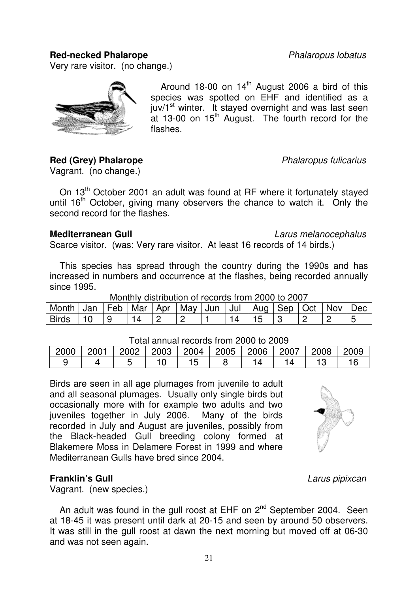### **Red-necked Phalarope Phalaropus lobatus**

Very rare visitor. (no change.)



Around 18-00 on  $14<sup>th</sup>$  August 2006 a bird of this species was spotted on EHF and identified as a juv/1<sup>st</sup> winter. It stayed overnight and was last seen at 13-00 on  $15<sup>th</sup>$  August. The fourth record for the flashes.

# **Red (Grey) Phalarope Phalaropus fulicarius**

Vagrant. (no change.)

On 13<sup>th</sup> October 2001 an adult was found at RF where it fortunately stayed until  $16<sup>th</sup>$  October, giving many observers the chance to watch it. Only the second record for the flashes.

**Mediterranean Gull** Larus melanocephalus

Scarce visitor. (was: Very rare visitor. At least 16 records of 14 birds.)

 This species has spread through the country during the 1990s and has increased in numbers and occurrence at the flashes, being recorded annually since 1995.

| Monthly distribution of records from 2000 to 2007                           |  |     |    |  |  |  |    |    |  |  |  |  |  |
|-----------------------------------------------------------------------------|--|-----|----|--|--|--|----|----|--|--|--|--|--|
| Month Jan   Feb   Mar   Apr   May   Jun   Jul   Aug   Sep   Oct   Nov   Dec |  |     |    |  |  |  |    |    |  |  |  |  |  |
| Birds 110                                                                   |  | l 9 | 14 |  |  |  | 14 | 15 |  |  |  |  |  |

### Total annual records from 2000 to 2009

| 2000 | 2001 | $\vert$ 2002 |  |  | 2003   2004   2005   2006 |  | 2007 2008 |  | 2009 |  |  |
|------|------|--------------|--|--|---------------------------|--|-----------|--|------|--|--|
|      |      |              |  |  |                           |  |           |  |      |  |  |

Birds are seen in all age plumages from juvenile to adult and all seasonal plumages. Usually only single birds but occasionally more with for example two adults and two juveniles together in July 2006. Many of the birds recorded in July and August are juveniles, possibly from the Black-headed Gull breeding colony formed at Blakemere Moss in Delamere Forest in 1999 and where Mediterranean Gulls have bred since 2004.



# **Franklin's Gull Contract Contract Contract Contract Contract Contract Contract Contract Contract Contract Contract Contract Contract Contract Contract Contract Contract Contract Contract Contract Contract Contract Contr**

Vagrant. (new species.)

An adult was found in the gull roost at EHF on 2<sup>nd</sup> September 2004. Seen at 18-45 it was present until dark at 20-15 and seen by around 50 observers. It was still in the gull roost at dawn the next morning but moved off at 06-30 and was not seen again.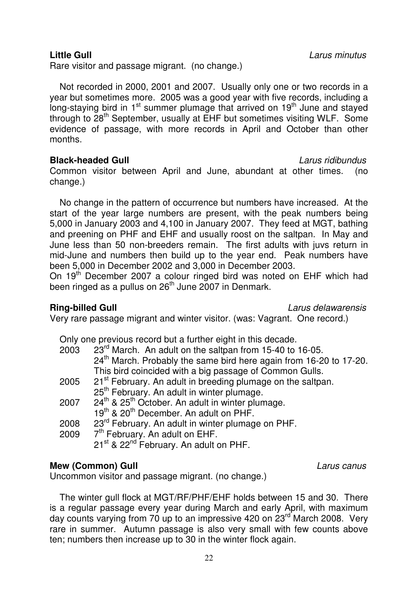Rare visitor and passage migrant. (no change.)

 Not recorded in 2000, 2001 and 2007. Usually only one or two records in a year but sometimes more. 2005 was a good year with five records, including a long-staying bird in  $1<sup>st</sup>$  summer plumage that arrived on  $19<sup>th</sup>$  June and stayed through to 28<sup>th</sup> September, usually at EHF but sometimes visiting WLF. Some evidence of passage, with more records in April and October than other months.

### **Black-headed Gull** Larus ridibundus

Common visitor between April and June, abundant at other times. (no change.)

 No change in the pattern of occurrence but numbers have increased. At the start of the year large numbers are present, with the peak numbers being 5,000 in January 2003 and 4,100 in January 2007. They feed at MGT, bathing and preening on PHF and EHF and usually roost on the saltpan. In May and June less than 50 non-breeders remain. The first adults with juvs return in mid-June and numbers then build up to the year end. Peak numbers have been 5,000 in December 2002 and 3,000 in December 2003.

On 19<sup>th</sup> December 2007 a colour ringed bird was noted on EHF which had been ringed as a pullus on  $26<sup>th</sup>$  June 2007 in Denmark.

**Ring-billed Gull Ring-billed Gull Larus delawarensis** 

Very rare passage migrant and winter visitor. (was: Vagrant. One record.)

Only one previous record but a further eight in this decade.

| 2003 | 23 <sup>rd</sup> March. An adult on the saltpan from 15-40 to 16-05.    |
|------|-------------------------------------------------------------------------|
|      | $24th$ March. Probably the same bird here again from 16-20 to 17-20.    |
|      | This bird coincided with a big passage of Common Gulls.                 |
| 2005 | 21 <sup>st</sup> February. An adult in breeding plumage on the saltpan. |
|      | 25 <sup>th</sup> February. An adult in winter plumage.                  |
| 2007 | $24th$ & $25th$ October. An adult in winter plumage.                    |
|      | 19 <sup>th</sup> & 20 <sup>th</sup> December. An adult on PHF.          |
| 2008 | 23 <sup>rd</sup> February. An adult in winter plumage on PHF.           |
| 2009 | 7 <sup>th</sup> February. An adult on EHF.                              |
|      | 21 <sup>st</sup> & 22 <sup>nd</sup> February. An adult on PHF.          |
|      |                                                                         |

# **Mew (Common) Gull Common** Call **Larus canus**

Uncommon visitor and passage migrant. (no change.)

 The winter gull flock at MGT/RF/PHF/EHF holds between 15 and 30. There is a regular passage every year during March and early April, with maximum day counts varying from 70 up to an impressive 420 on 23<sup>rd</sup> March 2008. Very rare in summer. Autumn passage is also very small with few counts above ten; numbers then increase up to 30 in the winter flock again.

**Little Gull** Larus minutus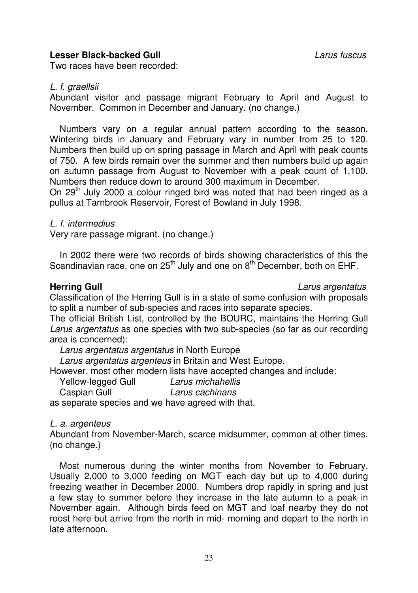### **Lesser Black-backed Gull** Larus fuscus

Two races have been recorded:

### L. f. graellsii

Abundant visitor and passage migrant February to April and August to November. Common in December and January. (no change.)

 Numbers vary on a regular annual pattern according to the season. Wintering birds in January and February vary in number from 25 to 120. Numbers then build up on spring passage in March and April with peak counts of 750. A few birds remain over the summer and then numbers build up again on autumn passage from August to November with a peak count of 1,100. Numbers then reduce down to around 300 maximum in December.

On 29<sup>th</sup> July 2000 a colour ringed bird was noted that had been ringed as a pullus at Tarnbrook Reservoir, Forest of Bowland in July 1998.

### L. f. intermedius

Very rare passage migrant. (no change.)

 In 2002 there were two records of birds showing characteristics of this the Scandinavian race, one on 25<sup>th</sup> July and one on 8<sup>th</sup> December, both on EHF.

### **Herring Gull Herring Gull Larus argentatus**

Classification of the Herring Gull is in a state of some confusion with proposals to split a number of sub-species and races into separate species.

The official British List, controlled by the BOURC, maintains the Herring Gull Larus argentatus as one species with two sub-species (so far as our recording area is concerned):

Larus argentatus argentatus in North Europe

Larus argentatus argenteus in Britain and West Europe.

However, most other modern lists have accepted changes and include:

Yellow-legged Gull Caspian Gull Larus cachinans

as separate species and we have agreed with that.

### L. a. argenteus

Abundant from November-March, scarce midsummer, common at other times. (no change.)

 Most numerous during the winter months from November to February. Usually 2,000 to 3,000 feeding on MGT each day but up to 4,000 during freezing weather in December 2000. Numbers drop rapidly in spring and just a few stay to summer before they increase in the late autumn to a peak in November again. Although birds feed on MGT and loaf nearby they do not roost here but arrive from the north in mid- morning and depart to the north in late afternoon.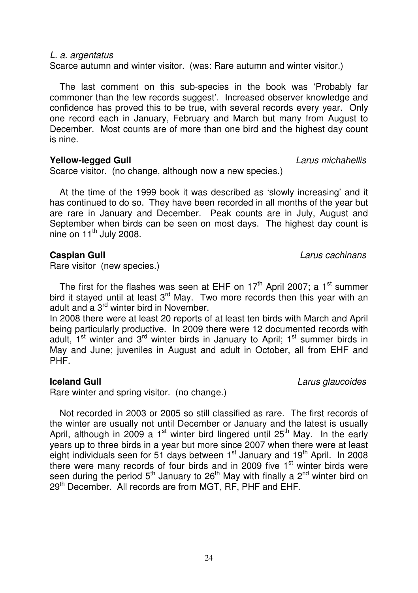### L. a. argentatus

Scarce autumn and winter visitor. (was: Rare autumn and winter visitor.)

 The last comment on this sub-species in the book was 'Probably far commoner than the few records suggest'. Increased observer knowledge and confidence has proved this to be true, with several records every year. Only one record each in January, February and March but many from August to December. Most counts are of more than one bird and the highest day count is nine.

### **Yellow-legged Gull Contract Contract Contract Contract Contract Contract Contract Contract Contract Contract Contract Contract Contract Contract Contract Contract Contract Contract Contract Contract Contract Contract Co**

Scarce visitor. (no change, although now a new species.)

 At the time of the 1999 book it was described as 'slowly increasing' and it has continued to do so. They have been recorded in all months of the year but are rare in January and December. Peak counts are in July, August and September when birds can be seen on most days. The highest day count is nine on  $11<sup>th</sup>$  July 2008.

### **Caspian Gull Caspian Gull Caspian Gull Larus** cachinans

Rare visitor (new species.)

The first for the flashes was seen at EHF on  $17<sup>th</sup>$  April 2007; a  $1<sup>st</sup>$  summer bird it stayed until at least  $3<sup>rd</sup>$  May. Two more records then this year with an adult and a 3<sup>rd</sup> winter bird in November.

In 2008 there were at least 20 reports of at least ten birds with March and April being particularly productive. In 2009 there were 12 documented records with adult,  $1<sup>st</sup>$  winter and  $3<sup>rd</sup>$  winter birds in January to April;  $1<sup>st</sup>$  summer birds in May and June; juveniles in August and adult in October, all from EHF and PHF.

# **Iceland Gull Contract Contract Contract Contract Contract Contract Contract Contract Contract Contract Contract Contract Contract Contract Contract Contract Contract Contract Contract Contract Contract Contract Contract**

Rare winter and spring visitor. (no change.)

 Not recorded in 2003 or 2005 so still classified as rare. The first records of the winter are usually not until December or January and the latest is usually April, although in 2009 a 1<sup>st</sup> winter bird lingered until 25<sup>th</sup> May. In the early years up to three birds in a year but more since 2007 when there were at least eight individuals seen for 51 days between  $1<sup>st</sup>$  January and  $19<sup>th</sup>$  April. In 2008 there were many records of four birds and in 2009 five 1<sup>st</sup> winter birds were seen during the period  $5<sup>th</sup>$  January to 26<sup>th</sup> May with finally a 2<sup>nd</sup> winter bird on 29<sup>th</sup> December. All records are from MGT, RF, PHF and EHF.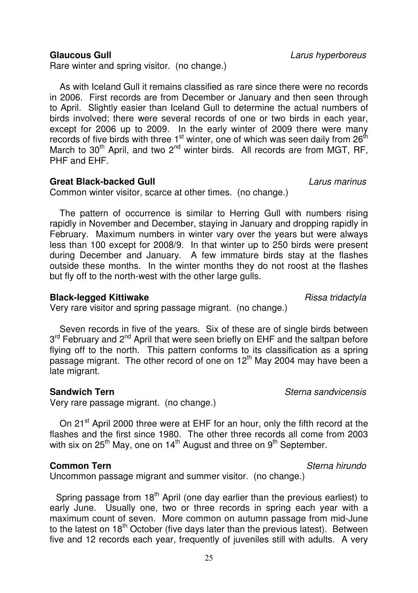### **Glaucous Gull Glaucous Gull Contract Contract Contract Contract Contract Contract Contract Contract Contract Contract Contract Contract Contract Contract Contract Contract Contract Contract Contract Contract Contract**

Rare winter and spring visitor. (no change.)

 As with Iceland Gull it remains classified as rare since there were no records in 2006. First records are from December or January and then seen through to April. Slightly easier than Iceland Gull to determine the actual numbers of birds involved; there were several records of one or two birds in each year, except for 2006 up to 2009. In the early winter of 2009 there were many records of five birds with three  $1<sup>st</sup>$  winter, one of which was seen daily from  $26<sup>th</sup>$ March to  $30<sup>th</sup>$  April, and two  $2<sup>nd</sup>$  winter birds. All records are from MGT, RF, PHF and EHF.

### **Great Black-backed Gull** Larus marinus

Common winter visitor, scarce at other times. (no change.)

 The pattern of occurrence is similar to Herring Gull with numbers rising rapidly in November and December, staying in January and dropping rapidly in February. Maximum numbers in winter vary over the years but were always less than 100 except for 2008/9. In that winter up to 250 birds were present during December and January. A few immature birds stay at the flashes outside these months. In the winter months they do not roost at the flashes but fly off to the north-west with the other large gulls.

### **Black-legged Kittiwake Risk and Struck-Legged Kittiwake** Rissa tridactyla

Very rare visitor and spring passage migrant. (no change.)

 Seven records in five of the years. Six of these are of single birds between 3<sup>rd</sup> February and 2<sup>nd</sup> April that were seen briefly on EHF and the saltpan before flying off to the north. This pattern conforms to its classification as a spring passage migrant. The other record of one on 12<sup>th</sup> May 2004 may have been a late migrant.

Very rare passage migrant. (no change.)

On 21<sup>st</sup> April 2000 three were at EHF for an hour, only the fifth record at the flashes and the first since 1980. The other three records all come from 2003 with six on  $25^{th}$  May, one on  $14^{th}$  August and three on  $9^{th}$  September.

### **Common Tern Sterna hirundo**

Uncommon passage migrant and summer visitor. (no change.)

Spring passage from  $18<sup>th</sup>$  April (one day earlier than the previous earliest) to early June. Usually one, two or three records in spring each year with a maximum count of seven. More common on autumn passage from mid-June to the latest on  $18<sup>th</sup>$  October (five days later than the previous latest). Between five and 12 records each year, frequently of juveniles still with adults. A very

**Sandwich Tern** Sterna sandvicensis **Sternal Sterna sandvicensis**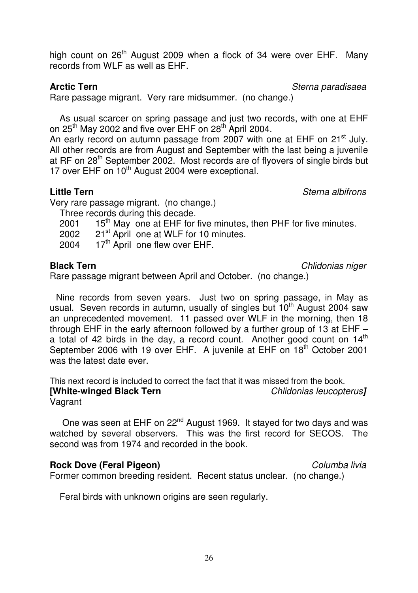high count on 26<sup>th</sup> August 2009 when a flock of 34 were over EHF. Many records from WLF as well as EHF.

**Arctic Tern Arctic Tern Sterna paradisaea** 

Rare passage migrant. Very rare midsummer. (no change.)

 As usual scarcer on spring passage and just two records, with one at EHF on  $25<sup>th</sup>$  May 2002 and five over EHF on  $28<sup>th</sup>$  April 2004.

An early record on autumn passage from 2007 with one at EHF on 21<sup>st</sup> July. All other records are from August and September with the last being a juvenile at RF on 28<sup>th</sup> September 2002. Most records are of flyovers of single birds but 17 over EHF on 10<sup>th</sup> August 2004 were exceptional.

**Little Tern** Sterna albifrons

Very rare passage migrant. (no change.)

Three records during this decade.

2001  $15^{th}$  May one at EHF for five minutes, then PHF for five minutes.<br>2002  $21^{st}$  April one at WLF for 10 minutes.

- 21<sup>st</sup> April one at WLF for 10 minutes.
- 2004  $17<sup>th</sup>$  April one flew over EHF.

**Black Tern** Chlidonias niger

Rare passage migrant between April and October. (no change.)

 Nine records from seven years. Just two on spring passage, in May as usual. Seven records in autumn, usually of singles but 10<sup>th</sup> August 2004 saw an unprecedented movement. 11 passed over WLF in the morning, then 18 through EHF in the early afternoon followed by a further group of 13 at EHF – a total of 42 birds in the day, a record count. Another good count on  $14<sup>th</sup>$ September 2006 with 19 over EHF. A juvenile at EHF on 18<sup>th</sup> October 2001 was the latest date ever.

This next record is included to correct the fact that it was missed from the book.<br> **[White-winged Black Tern** Chlidonias leucopterus]

**[White-winged Black Tern** Vagrant

One was seen at EHF on 22<sup>nd</sup> August 1969. It stayed for two days and was watched by several observers. This was the first record for SECOS. The second was from 1974 and recorded in the book.

# **Rock Dove (Feral Pigeon)** Columba livia

Former common breeding resident. Recent status unclear. (no change.)

Feral birds with unknown origins are seen regularly.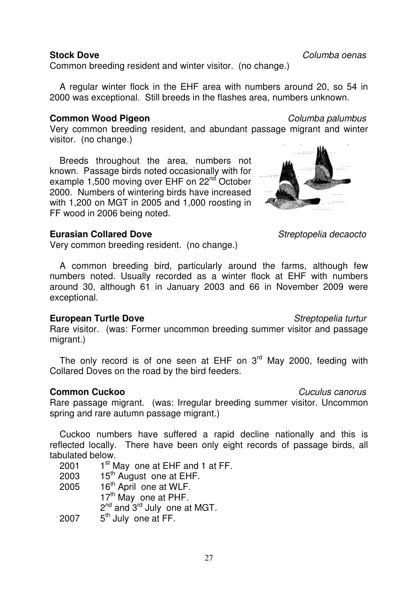Common breeding resident and winter visitor. (no change.)

 A regular winter flock in the EHF area with numbers around 20, so 54 in 2000 was exceptional. Still breeds in the flashes area, numbers unknown.

# **Common Wood Pigeon** Columba palumbus **Columba palumbus**

Very common breeding resident, and abundant passage migrant and winter visitor. (no change.)

 Breeds throughout the area, numbers not known. Passage birds noted occasionally with for example 1.500 moving over EHF on 22<sup>nd</sup> October 2000. Numbers of wintering birds have increased with 1,200 on MGT in 2005 and 1,000 roosting in FF wood in 2006 being noted.

## **Eurasian Collared Dove** Streptopelia decaocto

Very common breeding resident. (no change.)

 A common breeding bird, particularly around the farms, although few numbers noted. Usually recorded as a winter flock at EHF with numbers around 30, although 61 in January 2003 and 66 in November 2009 were exceptional.

### **European Turtle Dove Streptopelia turtur** Streptopelia turtur

Rare visitor. (was: Former uncommon breeding summer visitor and passage migrant.)

The only record is of one seen at EHF on  $3<sup>rd</sup>$  May 2000, feeding with Collared Doves on the road by the bird feeders.

### **Common Cuckoo** Common Cuculus canorus Cuculus canorus Cuculus canorus Cuculus canorus Cuculus canorus Cuculus canorus Cuculus canorus Cuculus canorus Cuculus canorus Cuculus canorus Cuculus canorus Cuculus canorus Cuculus Rare passage migrant. (was: Irregular breeding summer visitor. Uncommon spring and rare autumn passage migrant.)

 Cuckoo numbers have suffered a rapid decline nationally and this is reflected locally. There have been only eight records of passage birds, all tabulated below.

- 2001  $1^{st}$  May one at EHF and 1 at FF.<br>2003 15<sup>th</sup> August one at FHF.
- 15<sup>th</sup> August one at EHF.
- 2005 16<sup>th</sup> April one at WLF. 17<sup>th</sup> May one at PHF.  $2^{nd}$  and  $3^{rd}$  July one at MGT.

 $2007$  5<sup>th</sup> July one at FF.



**Stock Dove Columba oenas**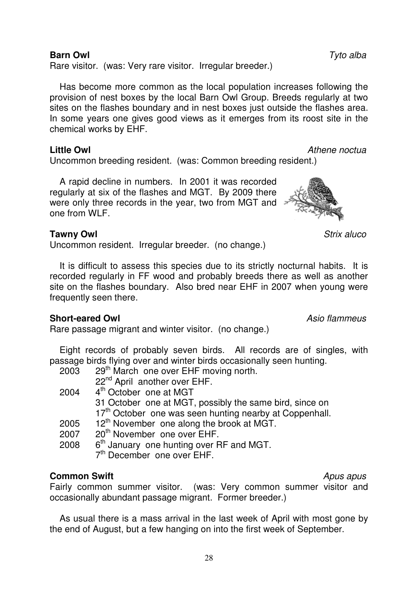# **Barn Owl** Tyto alba

Rare visitor. (was: Very rare visitor. Irregular breeder.)

 Has become more common as the local population increases following the provision of nest boxes by the local Barn Owl Group. Breeds regularly at two sites on the flashes boundary and in nest boxes just outside the flashes area. In some years one gives good views as it emerges from its roost site in the chemical works by EHF.

### **Little Owl** Athene noctua

Uncommon breeding resident. (was: Common breeding resident.)

 A rapid decline in numbers. In 2001 it was recorded regularly at six of the flashes and MGT. By 2009 there were only three records in the year, two from MGT and one from WLF.

## **Tawny Owl** Strix aluco

Uncommon resident. Irregular breeder. (no change.)

 It is difficult to assess this species due to its strictly nocturnal habits. It is recorded regularly in FF wood and probably breeds there as well as another site on the flashes boundary. Also bred near EHF in 2007 when young were frequently seen there.

### **Short-eared Owl Asio flammeus**

Rare passage migrant and winter visitor. (no change.)

 Eight records of probably seven birds. All records are of singles, with passage birds flying over and winter birds occasionally seen hunting.

| 2003 | 29 <sup>th</sup> March one over EHF moving north.                   |
|------|---------------------------------------------------------------------|
|      | 22 <sup>nd</sup> April another over EHF.                            |
| 2004 | 4 <sup>th</sup> October one at MGT                                  |
|      | 31 October one at MGT, possibly the same bird, since on             |
|      | 17 <sup>th</sup> October one was seen hunting nearby at Coppenhall. |
| 2005 | 12 <sup>th</sup> November one along the brook at MGT.               |
| 2007 | 20 <sup>th</sup> November one over EHF.                             |
| 2008 | 6 <sup>th</sup> January one hunting over RF and MGT.                |
|      | 7 <sup>th</sup> December one over EHF.                              |
|      |                                                                     |

# **Common Swift** Apus apus **Apus apus**

Fairly common summer visitor. (was: Very common summer visitor and occasionally abundant passage migrant. Former breeder.)

 As usual there is a mass arrival in the last week of April with most gone by the end of August, but a few hanging on into the first week of September.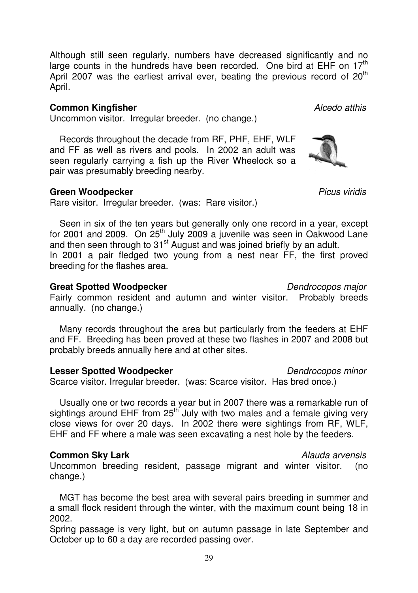Although still seen regularly, numbers have decreased significantly and no large counts in the hundreds have been recorded. One bird at EHF on  $17<sup>th</sup>$ April 2007 was the earliest arrival ever, beating the previous record of  $20<sup>th</sup>$ April.

### **Common Kingfisher Alcedo atthis Alcedo atthis**

Uncommon visitor. Irregular breeder. (no change.)

 Records throughout the decade from RF, PHF, EHF, WLF and FF as well as rivers and pools. In 2002 an adult was seen regularly carrying a fish up the River Wheelock so a pair was presumably breeding nearby.

### **Green Woodpecker Picus viridis**

Rare visitor. Irregular breeder. (was: Rare visitor.)

 Seen in six of the ten years but generally only one record in a year, except for 2001 and 2009. On 25th July 2009 a juvenile was seen in Oakwood Lane and then seen through to 31<sup>st</sup> August and was joined briefly by an adult. In 2001 a pair fledged two young from a nest near FF, the first proved breeding for the flashes area.

### **Great Spotted Woodpecker Dendrocopos major Dendrocopos major**

Fairly common resident and autumn and winter visitor. Probably breeds annually. (no change.)

 Many records throughout the area but particularly from the feeders at EHF and FF. Breeding has been proved at these two flashes in 2007 and 2008 but probably breeds annually here and at other sites.

### **Lesser Spotted Woodpecker Community** *Dendrocopos minor*

Scarce visitor. Irregular breeder. (was: Scarce visitor. Has bred once.)

 Usually one or two records a year but in 2007 there was a remarkable run of sightings around EHF from  $25<sup>th</sup>$  July with two males and a female giving very close views for over 20 days. In 2002 there were sightings from RF, WLF, EHF and FF where a male was seen excavating a nest hole by the feeders.

### **Common Sky Lark** Alauda arvensis

Uncommon breeding resident, passage migrant and winter visitor. (no change.)

 MGT has become the best area with several pairs breeding in summer and a small flock resident through the winter, with the maximum count being 18 in 2002.

Spring passage is very light, but on autumn passage in late September and October up to 60 a day are recorded passing over.

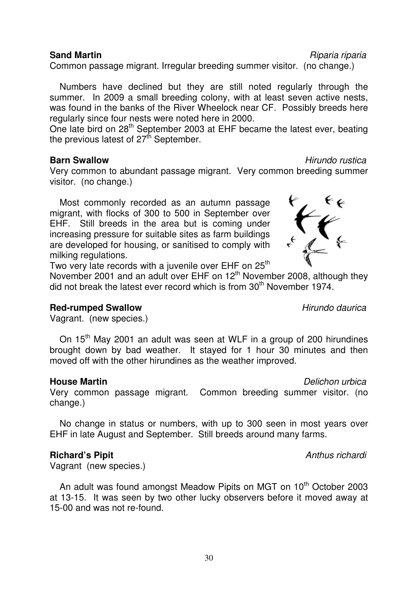### **Sand Martin Contract Contract Contract Contract Contract Contract Contract Contract Contract Contract Contract Contract Contract Contract Contract Contract Contract Contract Contract Contract Contract Contract Contract**

Common passage migrant. Irregular breeding summer visitor. (no change.)

 Numbers have declined but they are still noted regularly through the summer. In 2009 a small breeding colony, with at least seven active nests, was found in the banks of the River Wheelock near CF. Possibly breeds here regularly since four nests were noted here in 2000.

One late bird on 28<sup>th</sup> September 2003 at EHF became the latest ever, beating the previous latest of  $27<sup>th</sup>$  September.

### **Barn Swallow Barn Swallow Barn Swallow Hirundo rustica**

Very common to abundant passage migrant. Very common breeding summer visitor. (no change.)

 Most commonly recorded as an autumn passage migrant, with flocks of 300 to 500 in September over EHF. Still breeds in the area but is coming under increasing pressure for suitable sites as farm buildings are developed for housing, or sanitised to comply with milking regulations.

Two very late records with a juvenile over EHF on 25<sup>th</sup> November 2001 and an adult over EHF on 12<sup>th</sup> November 2008, although they

did not break the latest ever record which is from  $30<sup>th</sup>$  November 1974.

### **Red-rumped Swallow Hirundo daurica**

Vagrant. (new species.)

On 15<sup>th</sup> May 2001 an adult was seen at WLF in a group of 200 hirundines brought down by bad weather. It stayed for 1 hour 30 minutes and then moved off with the other hirundines as the weather improved.

### **House Martin Example 2018 House Martin Delichon urbica**

Very common passage migrant. Common breeding summer visitor. (no change.)

 No change in status or numbers, with up to 300 seen in most years over EHF in late August and September. Still breeds around many farms.

### **Richard's Pipit Anthus richardi Anthus richardi**

Vagrant (new species.)

An adult was found amongst Meadow Pipits on MGT on 10<sup>th</sup> October 2003 at 13-15. It was seen by two other lucky observers before it moved away at 15-00 and was not re-found.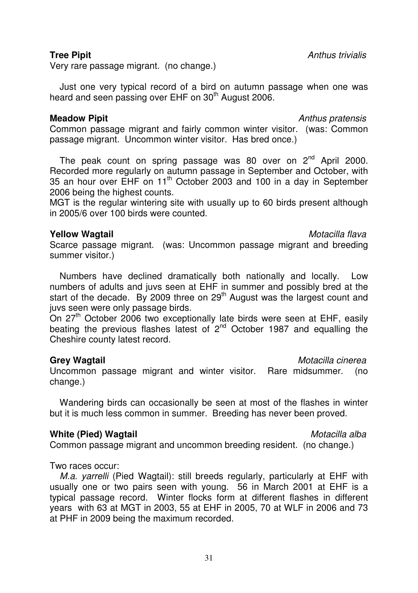Very rare passage migrant. (no change.)

 Just one very typical record of a bird on autumn passage when one was heard and seen passing over EHF on 30<sup>th</sup> August 2006.

### **Meadow Pipit** Anthus pratensis Anthus pratensis

Common passage migrant and fairly common winter visitor. (was: Common passage migrant. Uncommon winter visitor. Has bred once.)

The peak count on spring passage was 80 over on  $2<sup>nd</sup>$  April 2000. Recorded more regularly on autumn passage in September and October, with 35 an hour over EHF on 11th October 2003 and 100 in a day in September 2006 being the highest counts.

MGT is the regular wintering site with usually up to 60 birds present although in 2005/6 over 100 birds were counted.

## **Yellow Wagtail** Motacilla flava

Scarce passage migrant. (was: Uncommon passage migrant and breeding summer visitor.)

 Numbers have declined dramatically both nationally and locally. Low numbers of adults and juvs seen at EHF in summer and possibly bred at the start of the decade. By 2009 three on 29<sup>th</sup> August was the largest count and juvs seen were only passage birds.

On 27<sup>th</sup> October 2006 two exceptionally late birds were seen at EHF, easily beating the previous flashes latest of 2<sup>nd</sup> October 1987 and equalling the Cheshire county latest record.

### **Grey Wagtail** Motacilla Cinerea **Contract Contract Cinerea** Motacilla cinerea

Uncommon passage migrant and winter visitor. Rare midsummer. (no change.)

 Wandering birds can occasionally be seen at most of the flashes in winter but it is much less common in summer. Breeding has never been proved.

### **White (Pied) Wagtail** Motacilla alba

Common passage migrant and uncommon breeding resident. (no change.)

Two races occur:

M.a. yarrelli (Pied Wagtail): still breeds regularly, particularly at EHF with usually one or two pairs seen with young. 56 in March 2001 at EHF is a typical passage record. Winter flocks form at different flashes in different years with 63 at MGT in 2003, 55 at EHF in 2005, 70 at WLF in 2006 and 73 at PHF in 2009 being the maximum recorded.

**Tree Pipit** Anthus trivialis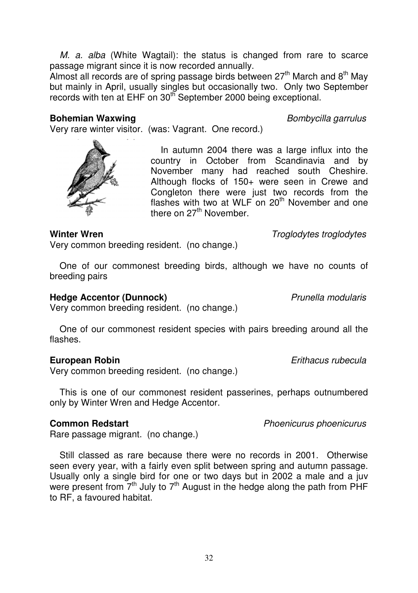M. a. alba (White Wagtail): the status is changed from rare to scarce passage migrant since it is now recorded annually.

Almost all records are of spring passage birds between  $27<sup>th</sup>$  March and 8<sup>th</sup> May but mainly in April, usually singles but occasionally two. Only two September records with ten at EHF on 30<sup>th</sup> September 2000 being exceptional.

### **Bohemian Waxwing Bohemian Waxwing Bohemian** *Bombycilla garrulus*

Very rare winter visitor. (was: Vagrant. One record.)

 In autumn 2004 there was a large influx into the country in October from Scandinavia and by November many had reached south Cheshire. Although flocks of 150+ were seen in Crewe and Congleton there were just two records from the flashes with two at WLF on  $20<sup>th</sup>$  November and one there on  $27<sup>th</sup>$  November.

### **Winter Wren** Winter Wren **Troglodytes** troglodytes

Very common breeding resident. (no change.)

 One of our commonest breeding birds, although we have no counts of breeding pairs

# **Hedge Accentor (Dunnock)** Network and *Prunella modularis*

Very common breeding resident. (no change.)

 One of our commonest resident species with pairs breeding around all the flashes.

# **European Robin European Robin European Robin E**uropean *Erithacus rubecula*

Very common breeding resident. (no change.)

 This is one of our commonest resident passerines, perhaps outnumbered only by Winter Wren and Hedge Accentor.

# **Common Redstart Common Redstart Phoenicurus** phoenicurus *common Redstart*

Rare passage migrant. (no change.)

 Still classed as rare because there were no records in 2001. Otherwise seen every year, with a fairly even split between spring and autumn passage. Usually only a single bird for one or two days but in 2002 a male and a juv were present from  $7<sup>th</sup>$  July to  $7<sup>th</sup>$  August in the hedge along the path from PHF to RF, a favoured habitat.



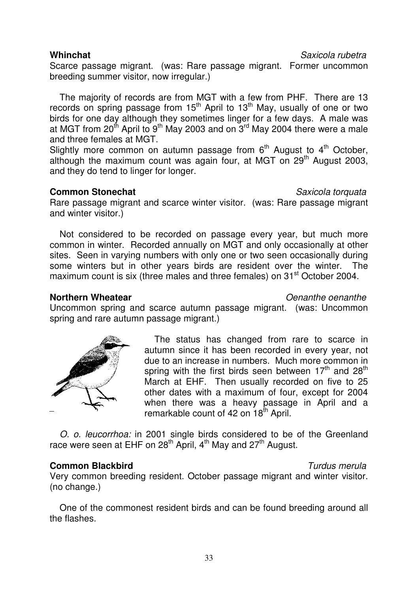Scarce passage migrant. (was: Rare passage migrant. Former uncommon breeding summer visitor, now irregular.)

 The majority of records are from MGT with a few from PHF. There are 13 records on spring passage from 15<sup>th</sup> April to 13<sup>th</sup> May, usually of one or two birds for one day although they sometimes linger for a few days. A male was at MGT from 20<sup>th</sup> April to 9<sup>th</sup> May 2003 and on  $3^{rd}$  May 2004 there were a male and three females at MGT.

Slightly more common on autumn passage from  $6<sup>th</sup>$  August to  $4<sup>th</sup>$  October, although the maximum count was again four, at MGT on  $29<sup>th</sup>$  August 2003, and they do tend to linger for longer.

## **Common Stonechat** Saxicola torquata

Rare passage migrant and scarce winter visitor. (was: Rare passage migrant and winter visitor.)

 Not considered to be recorded on passage every year, but much more common in winter. Recorded annually on MGT and only occasionally at other sites. Seen in varying numbers with only one or two seen occasionally during some winters but in other years birds are resident over the winter. The maximum count is six (three males and three females) on 31<sup>st</sup> October 2004.

### **Northern Wheatear Notational Communist Center Communist Center Communist Center Communist Center Communist Center**

Uncommon spring and scarce autumn passage migrant. (was: Uncommon spring and rare autumn passage migrant.)

> The status has changed from rare to scarce in autumn since it has been recorded in every year, not due to an increase in numbers. Much more common in spring with the first birds seen between  $17<sup>th</sup>$  and  $28<sup>th</sup>$ March at EHF. Then usually recorded on five to 25 other dates with a maximum of four, except for 2004 when there was a heavy passage in April and a remarkable count of 42 on 18<sup>th</sup> April.

O. o. leucorrhoa: in 2001 single birds considered to be of the Greenland race were seen at EHF on  $28<sup>th</sup>$  April,  $4<sup>th</sup>$  May and  $27<sup>th</sup>$  August.

# **Common Blackbird** Common Blackbird

Very common breeding resident. October passage migrant and winter visitor. (no change.)

 One of the commonest resident birds and can be found breeding around all the flashes.



**Whinchat** Saxicola rubetra **Saxicola** rubetra Saxicola rubetra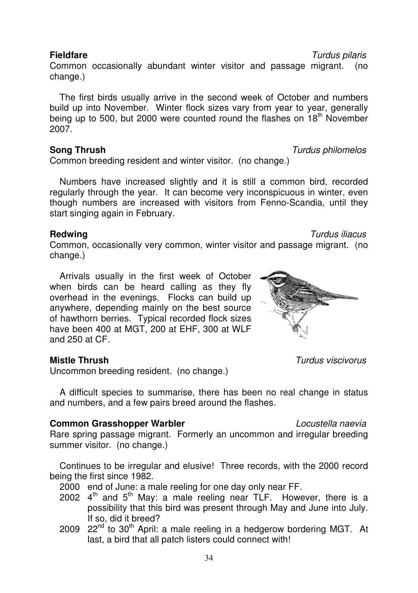Common occasionally abundant winter visitor and passage migrant. (no change.)

 The first birds usually arrive in the second week of October and numbers build up into November. Winter flock sizes vary from year to year, generally being up to 500, but 2000 were counted round the flashes on 18<sup>th</sup> November 2007.

# **Song Thrush** Turdus philomelos

Common breeding resident and winter visitor. (no change.)

 Numbers have increased slightly and it is still a common bird, recorded regularly through the year. It can become very inconspicuous in winter, even though numbers are increased with visitors from Fenno-Scandia, until they start singing again in February.

# **Redwing Redwing Redwing** *Redwing Redwing Redwing Turdus iliacus*

Common, occasionally very common, winter visitor and passage migrant. (no change.)

 Arrivals usually in the first week of October when birds can be heard calling as they fly overhead in the evenings. Flocks can build up anywhere, depending mainly on the best source of hawthorn berries. Typical recorded flock sizes have been 400 at MGT, 200 at EHF, 300 at WLF and 250 at CF.

Uncommon breeding resident. (no change.)

 A difficult species to summarise, there has been no real change in status and numbers, and a few pairs breed around the flashes.

# **Common Grasshopper Warbler Locustella naevia**

Rare spring passage migrant. Formerly an uncommon and irregular breeding summer visitor. (no change.)

 Continues to be irregular and elusive! Three records, with the 2000 record being the first since 1982.

- 2000 end of June: a male reeling for one day only near FF.
- 2002  $4<sup>th</sup>$  and  $5<sup>th</sup>$  May: a male reeling near TLF. However, there is a possibility that this bird was present through May and June into July. If so, did it breed?
- 2009  $22^{nd}$  to 30<sup>th</sup> April: a male reeling in a hedgerow bordering MGT. At last, a bird that all patch listers could connect with!



**Mistle Thrush** Turdus viscivorus **Turdus viscivorus** 

**Fieldfare** Turdus pilaris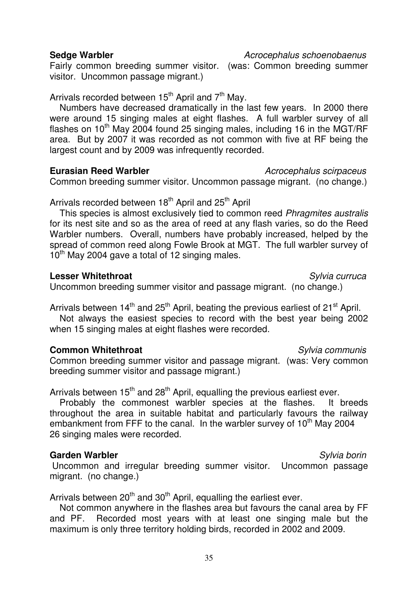### **Sedge Warbler Acrocephalus schoenobaenus**

Fairly common breeding summer visitor. (was: Common breeding summer visitor. Uncommon passage migrant.)

Arrivals recorded between  $15<sup>th</sup>$  April and  $7<sup>th</sup>$  May.

 Numbers have decreased dramatically in the last few years. In 2000 there were around 15 singing males at eight flashes. A full warbler survey of all flashes on  $10^{th}$  May 2004 found 25 singing males, including 16 in the MGT/RF area. But by 2007 it was recorded as not common with five at RF being the largest count and by 2009 was infrequently recorded.

**Eurasian Reed Warbler Acrocephalus scirpaceus** 

Common breeding summer visitor. Uncommon passage migrant. (no change.)

Arrivals recorded between 18<sup>th</sup> April and 25<sup>th</sup> April

This species is almost exclusively tied to common reed Phragmites australis for its nest site and so as the area of reed at any flash varies, so do the Reed Warbler numbers. Overall, numbers have probably increased, helped by the spread of common reed along Fowle Brook at MGT. The full warbler survey of  $10^{th}$  May 2004 gave a total of 12 singing males.

## **Lesser Whitethroat** Community Community Community Community Community Community Community Community Community Community Community Community Community Community Community Community Community Community Community Community C

Uncommon breeding summer visitor and passage migrant. (no change.)

Arrivals between  $14<sup>th</sup>$  and  $25<sup>th</sup>$  April, beating the previous earliest of  $21<sup>st</sup>$  April.

 Not always the easiest species to record with the best year being 2002 when 15 singing males at eight flashes were recorded.

# **Common Whitethroat** Sylvia communis

Common breeding summer visitor and passage migrant. (was: Very common breeding summer visitor and passage migrant.)

Arrivals between  $15<sup>th</sup>$  and 28<sup>th</sup> April, equalling the previous earliest ever.

 Probably the commonest warbler species at the flashes. It breeds throughout the area in suitable habitat and particularly favours the railway embankment from FFF to the canal. In the warbler survey of 10<sup>th</sup> May 2004 26 singing males were recorded.

# **Garden Warbler** Sylvia borin

 Uncommon and irregular breeding summer visitor. Uncommon passage migrant. (no change.)

Arrivals between  $20<sup>th</sup>$  and  $30<sup>th</sup>$  April, equalling the earliest ever.

 Not common anywhere in the flashes area but favours the canal area by FF and PF. Recorded most years with at least one singing male but the maximum is only three territory holding birds, recorded in 2002 and 2009.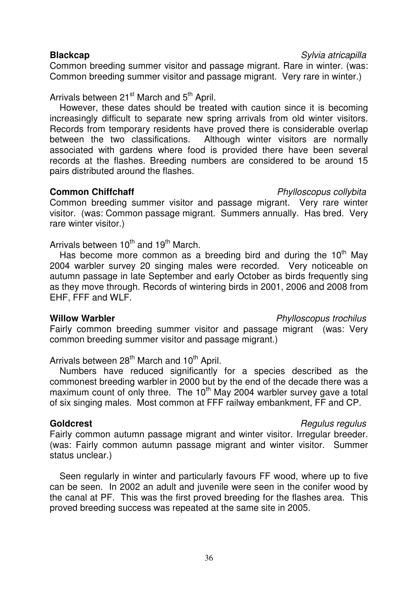Common breeding summer visitor and passage migrant. Rare in winter. (was: Common breeding summer visitor and passage migrant. Very rare in winter.)

Arrivals between 21<sup>st</sup> March and 5<sup>th</sup> April.

 However, these dates should be treated with caution since it is becoming increasingly difficult to separate new spring arrivals from old winter visitors. Records from temporary residents have proved there is considerable overlap<br>between the two classifications. Although winter visitors are normally Although winter visitors are normally associated with gardens where food is provided there have been several records at the flashes. Breeding numbers are considered to be around 15 pairs distributed around the flashes.

## **Common Chiffchaff Common Chiffchaff**

Common breeding summer visitor and passage migrant. Very rare winter visitor. (was: Common passage migrant. Summers annually. Has bred. Very rare winter visitor.)

Arrivals between  $10^{th}$  and  $19^{th}$  March.

Has become more common as a breeding bird and during the  $10<sup>th</sup>$  May 2004 warbler survey 20 singing males were recorded. Very noticeable on autumn passage in late September and early October as birds frequently sing as they move through. Records of wintering birds in 2001, 2006 and 2008 from EHF, FFF and WLF.

Fairly common breeding summer visitor and passage migrant (was: Very common breeding summer visitor and passage migrant.)

Arrivals between  $28<sup>th</sup>$  March and  $10<sup>th</sup>$  April.

 Numbers have reduced significantly for a species described as the commonest breeding warbler in 2000 but by the end of the decade there was a maximum count of only three. The  $10<sup>th</sup>$  May 2004 warbler survey gave a total of six singing males. Most common at FFF railway embankment, FF and CP.

# **Goldcrest Goldcrest Regulus** regulus **Regulus** *Regulus* regulus **Regulus**

Fairly common autumn passage migrant and winter visitor. Irregular breeder. (was: Fairly common autumn passage migrant and winter visitor. Summer status unclear.)

 Seen regularly in winter and particularly favours FF wood, where up to five can be seen. In 2002 an adult and juvenile were seen in the conifer wood by the canal at PF. This was the first proved breeding for the flashes area. This proved breeding success was repeated at the same site in 2005.

# Will**ow Warbler Willow Warbler Phylloscopus trochilus**

**Blackcap** Sylvia atricapilla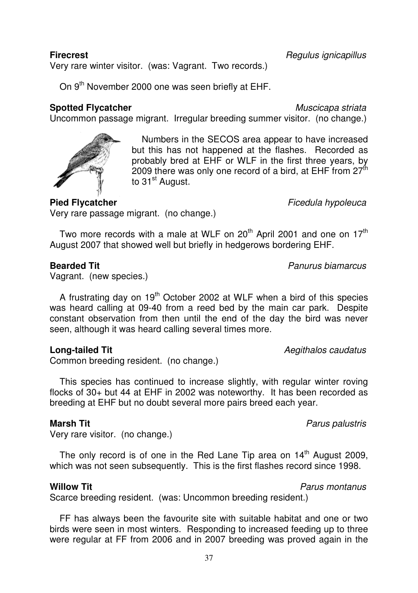Very rare winter visitor. (was: Vagrant. Two records.)

On 9<sup>th</sup> November 2000 one was seen briefly at EHF.

## **Spotted Flycatcher** Muscicapa striata

 Numbers in the SECOS area appear to have increased but this has not happened at the flashes. Recorded as probably bred at EHF or WLF in the first three years, by 2009 there was only one record of a bird, at EHF from  $27<sup>th</sup>$ to 31<sup>st</sup> August.

Very rare passage migrant. (no change.)

Two more records with a male at WLF on  $20^{th}$  April 2001 and one on  $17^{th}$ August 2007 that showed well but briefly in hedgerows bordering EHF.

Uncommon passage migrant. Irregular breeding summer visitor. (no change.)

## **Bearded Tit Bearded Tit Panurus biamarcus**

Vagrant. (new species.)

A frustrating day on  $19<sup>th</sup>$  October 2002 at WLF when a bird of this species was heard calling at 09-40 from a reed bed by the main car park. Despite constant observation from then until the end of the day the bird was never seen, although it was heard calling several times more.

# **Long-tailed Tit Long-tailed Tit**

Common breeding resident. (no change.)

 This species has continued to increase slightly, with regular winter roving flocks of 30+ but 44 at EHF in 2002 was noteworthy. It has been recorded as breeding at EHF but no doubt several more pairs breed each year.

# **Marsh Tit Marsh Tit Parus palustris Parus palustris Parus palustris Parus palustris**

Very rare visitor. (no change.)

The only record is of one in the Red Lane Tip area on  $14<sup>th</sup>$  August 2009, which was not seen subsequently. This is the first flashes record since 1998.

### **Willow Tit** Parus montanus

Scarce breeding resident. (was: Uncommon breeding resident.)

 FF has always been the favourite site with suitable habitat and one or two birds were seen in most winters. Responding to increased feeding up to three were regular at FF from 2006 and in 2007 breeding was proved again in the

**Pied Flycatcher** Ficedula hypoleuca

**Firecrest** Regulus ignicapillus **Firecrest** Regulus ignicapillus **Regulus** ignicapillus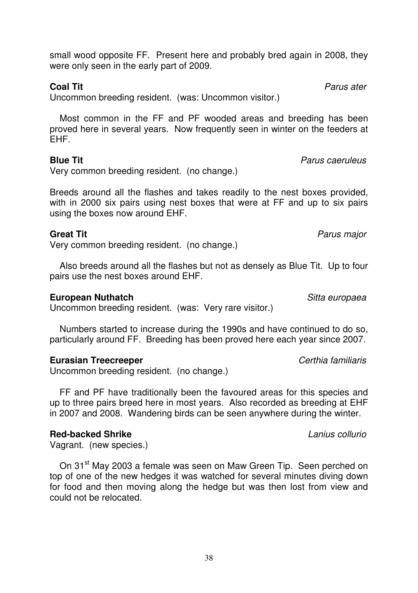small wood opposite FF. Present here and probably bred again in 2008, they were only seen in the early part of 2009.

Uncommon breeding resident. (was: Uncommon visitor.)

 Most common in the FF and PF wooded areas and breeding has been proved here in several years. Now frequently seen in winter on the feeders at EHF.

# **Blue Tit Blue Tit Parus caeruleus Parus caeruleus**

Very common breeding resident. (no change.)

Breeds around all the flashes and takes readily to the nest boxes provided, with in 2000 six pairs using nest boxes that were at FF and up to six pairs using the boxes now around EHF.

# **Great Tit** Parus major

Very common breeding resident. (no change.)

 Also breeds around all the flashes but not as densely as Blue Tit. Up to four pairs use the nest boxes around EHF.

# **European Nuthatch** *Sitta europaea*

Uncommon breeding resident. (was: Very rare visitor.)

 Numbers started to increase during the 1990s and have continued to do so, particularly around FF. Breeding has been proved here each year since 2007.

# **Eurasian Treecreeper** Certhia familiaris

Uncommon breeding resident. (no change.)

 FF and PF have traditionally been the favoured areas for this species and up to three pairs breed here in most years. Also recorded as breeding at EHF in 2007 and 2008. Wandering birds can be seen anywhere during the winter.

# **Red-backed Shrike Lanius collurio** Lanius collurio

Vagrant. (new species.)

On 31<sup>st</sup> May 2003 a female was seen on Maw Green Tip. Seen perched on top of one of the new hedges it was watched for several minutes diving down for food and then moving along the hedge but was then lost from view and could not be relocated.

**Coal Tit Coal Tit**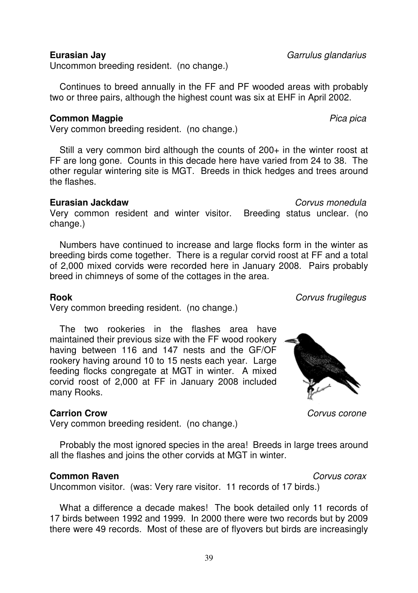Uncommon breeding resident. (no change.)

 Continues to breed annually in the FF and PF wooded areas with probably two or three pairs, although the highest count was six at EHF in April 2002.

### **Common Magpie** Pica pica

Very common breeding resident. (no change.)

Still a very common bird although the counts of 200+ in the winter roost at FF are long gone. Counts in this decade here have varied from 24 to 38. The other regular wintering site is MGT. Breeds in thick hedges and trees around the flashes.

### **Eurasian Jackdaw** Corvus monedula

Very common resident and winter visitor. Breeding status unclear. (no change.)

 Numbers have continued to increase and large flocks form in the winter as breeding birds come together. There is a regular corvid roost at FF and a total of 2,000 mixed corvids were recorded here in January 2008. Pairs probably breed in chimneys of some of the cottages in the area.

### **Rook** Corvus frugilegus

Very common breeding resident. (no change.)

 The two rookeries in the flashes area have maintained their previous size with the FF wood rookery having between 116 and 147 nests and the GF/OF rookery having around 10 to 15 nests each year. Large feeding flocks congregate at MGT in winter. A mixed corvid roost of 2,000 at FF in January 2008 included many Rooks.

# **Carrion Crow** Corvus corone

Very common breeding resident. (no change.)

 Probably the most ignored species in the area! Breeds in large trees around all the flashes and joins the other corvids at MGT in winter.

### **Common Raven**<br> **Convus corax**

Uncommon visitor. (was: Very rare visitor. 11 records of 17 birds.)

 What a difference a decade makes! The book detailed only 11 records of 17 birds between 1992 and 1999. In 2000 there were two records but by 2009 there were 49 records. Most of these are of flyovers but birds are increasingly



**Eurasian Jay** Garrulus glandarius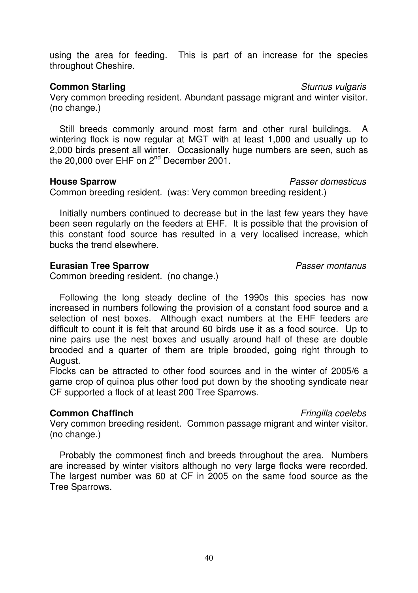using the area for feeding. This is part of an increase for the species throughout Cheshire.

# **Common Starling** Sturnus vulgaris **Common Starling**

Very common breeding resident. Abundant passage migrant and winter visitor. (no change.)

 Still breeds commonly around most farm and other rural buildings. A wintering flock is now regular at MGT with at least 1,000 and usually up to 2,000 birds present all winter. Occasionally huge numbers are seen, such as the 20,000 over EHF on 2<sup>nd</sup> December 2001.

# **House Sparrow Passer domesticus**

Common breeding resident. (was: Very common breeding resident.)

 Initially numbers continued to decrease but in the last few years they have been seen regularly on the feeders at EHF. It is possible that the provision of this constant food source has resulted in a very localised increase, which bucks the trend elsewhere.

# **Eurasian Tree Sparrow Passer montanus**

Common breeding resident. (no change.)

 Following the long steady decline of the 1990s this species has now increased in numbers following the provision of a constant food source and a selection of nest boxes. Although exact numbers at the EHF feeders are difficult to count it is felt that around 60 birds use it as a food source. Up to nine pairs use the nest boxes and usually around half of these are double brooded and a quarter of them are triple brooded, going right through to August.

Flocks can be attracted to other food sources and in the winter of 2005/6 a game crop of quinoa plus other food put down by the shooting syndicate near CF supported a flock of at least 200 Tree Sparrows.

# **Common Chaffinch Example 2 Common Chaffinch Fringilla** coelebs

Very common breeding resident. Common passage migrant and winter visitor. (no change.)

 Probably the commonest finch and breeds throughout the area. Numbers are increased by winter visitors although no very large flocks were recorded. The largest number was 60 at CF in 2005 on the same food source as the Tree Sparrows.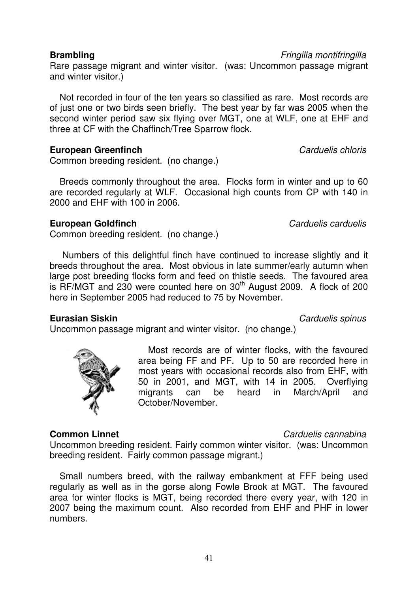Rare passage migrant and winter visitor. (was: Uncommon passage migrant and winter visitor.)

 Not recorded in four of the ten years so classified as rare. Most records are of just one or two birds seen briefly. The best year by far was 2005 when the second winter period saw six flying over MGT, one at WLF, one at EHF and three at CF with the Chaffinch/Tree Sparrow flock.

# **European Greenfinch** *Carduelis chloris*

Common breeding resident. (no change.)

 Breeds commonly throughout the area. Flocks form in winter and up to 60 are recorded regularly at WLF. Occasional high counts from CP with 140 in 2000 and EHF with 100 in 2006.

# **European Goldfinch** Carduelis carduelis carduelis

Common breeding resident. (no change.)

 Numbers of this delightful finch have continued to increase slightly and it breeds throughout the area. Most obvious in late summer/early autumn when large post breeding flocks form and feed on thistle seeds. The favoured area is  $RF/MGT$  and 230 were counted here on 30<sup>th</sup> August 2009. A flock of 200 here in September 2005 had reduced to 75 by November.

Uncommon passage migrant and winter visitor. (no change.)

# **Eurasian Siskin Carduelis spinus Carduelis spinus**

 Most records are of winter flocks, with the favoured area being FF and PF. Up to 50 are recorded here in most years with occasional records also from EHF, with 50 in 2001, and MGT, with 14 in 2005. Overflying migrants can be heard in March/April and October/November.

# **Common Linnet** Common Linnet Carduelis cannabina

# Uncommon breeding resident. Fairly common winter visitor. (was: Uncommon breeding resident. Fairly common passage migrant.)

 Small numbers breed, with the railway embankment at FFF being used regularly as well as in the gorse along Fowle Brook at MGT. The favoured area for winter flocks is MGT, being recorded there every year, with 120 in 2007 being the maximum count. Also recorded from EHF and PHF in lower numbers.



**Brambling**<br> **Brambling**<br> **Exampling**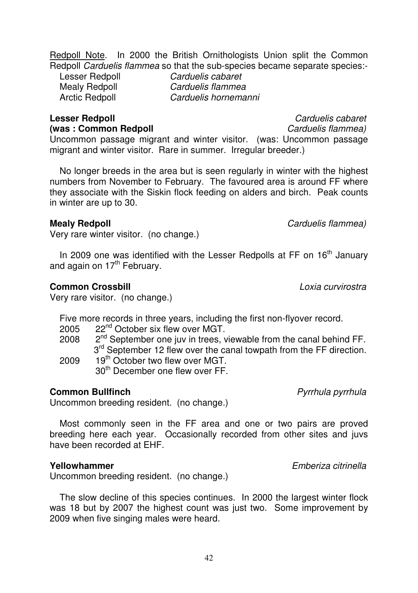Redpoll Note. In 2000 the British Ornithologists Union split the Common Redpoll Carduelis flammea so that the sub-species became separate species:-<br>Lesser Bedpoll Carduelis cabaret

Mealy Redpoll<br>Arctic Redpoll

Lesser Redpoll Carduelis cabaret<br>
Mealy Redpoll Carduelis flammea Carduelis hornemanni

# **Lesser Redpoll Canadian Carduelis cabaret (was : Common Redpoll Carduelis flammea)**

Uncommon passage migrant and winter visitor. (was: Uncommon passage migrant and winter visitor. Rare in summer. Irregular breeder.)

 No longer breeds in the area but is seen regularly in winter with the highest numbers from November to February. The favoured area is around FF where they associate with the Siskin flock feeding on alders and birch. Peak counts in winter are up to 30.

Very rare winter visitor. (no change.)

In 2009 one was identified with the Lesser Redpolls at FF on 16<sup>th</sup> January and again on  $17<sup>th</sup>$  February.

## **Common Crossbill Common Crossbill Loxia curvirostra**

Very rare visitor. (no change.)

Five more records in three years, including the first non-flyover record. 2005 22<sup>nd</sup> October six flew over MGT.

- 2008  $2<sup>nd</sup>$  September one juv in trees, viewable from the canal behind FF.  $3^{rd}$  September 12 flew over the canal towpath from the FF direction.<br>2009 19<sup>th</sup> October two flew over MGT
- 19<sup>th</sup> October two flew over MGT 30th December one flew over FF.

# **Common Bullfinch Common Bullfinch Pyrrhula** pyrrhula pyrrhula

Uncommon breeding resident. (no change.)

 Most commonly seen in the FF area and one or two pairs are proved breeding here each year. Occasionally recorded from other sites and juvs have been recorded at EHF.

Uncommon breeding resident. (no change.)

 The slow decline of this species continues. In 2000 the largest winter flock was 18 but by 2007 the highest count was just two. Some improvement by 2009 when five singing males were heard.

**Mealy Redpoll Carduelis** *Carduelis flammea*)

**Yellowhammer Emberiza citrinella**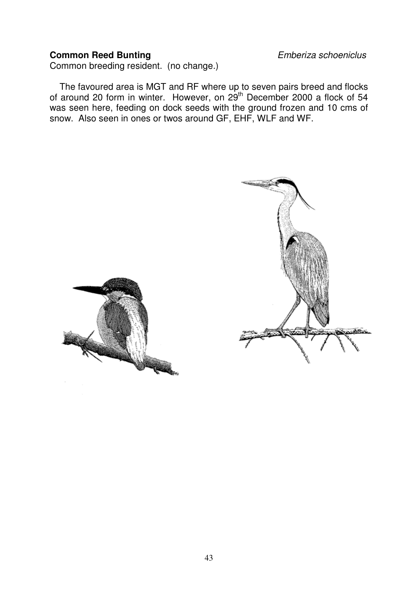# **Common Reed Bunting** Emberiza schoeniclus

Common breeding resident. (no change.)

 The favoured area is MGT and RF where up to seven pairs breed and flocks of around 20 form in winter. However, on 29<sup>th</sup> December 2000 a flock of 54 was seen here, feeding on dock seeds with the ground frozen and 10 cms of snow. Also seen in ones or twos around GF, EHF, WLF and WF.

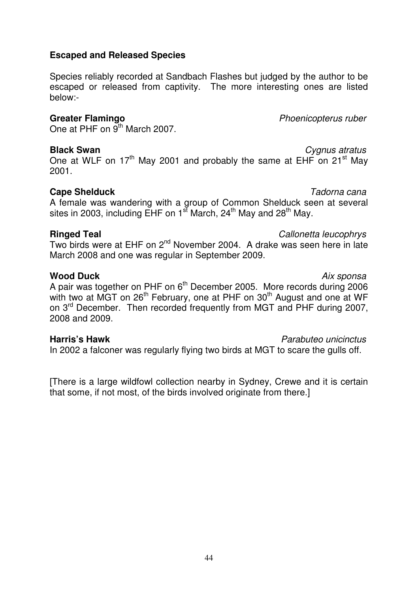44

# **Escaped and Released Species**

Species reliably recorded at Sandbach Flashes but judged by the author to be escaped or released from captivity. The more interesting ones are listed below:-

One at PHF on  $9<sup>th</sup>$  March 2007.

**Black Swan Cygnus atratus** One at WLF on 17<sup>th</sup> May 2001 and probably the same at EHF on 21<sup>st</sup> May 2001.

# **Cape Shelduck Tadorna cana**

A female was wandering with a group of Common Shelduck seen at several sites in 2003, including EHF on  $1<sup>st</sup>$  March, 24<sup>th</sup> May and 28<sup>th</sup> May.

# **Ringed Teal Callonetta leucophrys**

Two birds were at EHF on 2nd November 2004. A drake was seen here in late March 2008 and one was regular in September 2009.

**Wood Duck** Aix sponsa A pair was together on PHF on  $6<sup>th</sup>$  December 2005. More records during 2006 with two at MGT on 26<sup>th</sup> February, one at PHF on 30<sup>th</sup> August and one at WF on 3<sup>rd</sup> December. Then recorded frequently from MGT and PHF during 2007, 2008 and 2009.

# **Harris's Hawk** Parabuteo unicinctus

In 2002 a falconer was regularly flying two birds at MGT to scare the gulls off.

[There is a large wildfowl collection nearby in Sydney, Crewe and it is certain that some, if not most, of the birds involved originate from there.]

**Greater Flamingo** Phoenicopterus ruber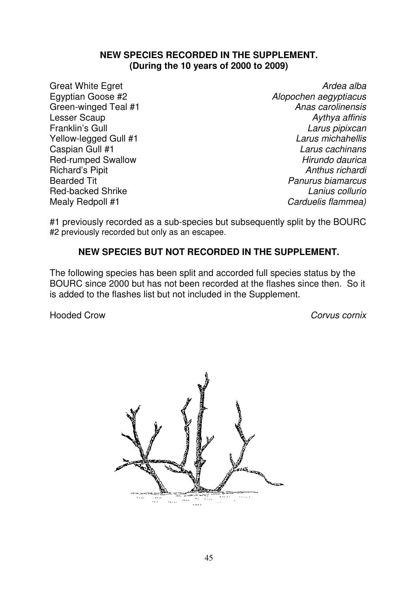### **NEW SPECIES RECORDED IN THE SUPPLEMENT. (During the 10 years of 2000 to 2009)**

Green-winged Teal #1<br>Lesser Scaup Richard's Pipit<br>Bearded Tit Red-backed Shrike

Great White Egret **Ardea alba**<br>Egyptian Goose #2 **Alexander Ardea alba**<br>Alexander Ardea alba Alopochen aegyptiacus<br>Anas carolinensis Lesser Scaup Aythya affinis Larus pipixcan<br>Larus michahellis Yellow-legged Gull #1 **Larus michahellis**<br>Caspian Gull #1 Larus michahellis Caspian Gull #1 **Caspian Gull #1** Caspian Gull #1 Larus cachinans<br>
Red-rumped Swallow **Caspian Caspian Caspian Caspian Caspian** Hirundo daurica Red-rumped Swallow **Hirundo daurica**<br>Richard's Pinit **Hirundo daurica**<br>Anthus richardi Panurus biamarcus<br>I anius collurio Mealy Redpoll #1 Carduelis flammea)

#1 previously recorded as a sub-species but subsequently split by the BOURC #2 previously recorded but only as an escapee.

# **NEW SPECIES BUT NOT RECORDED IN THE SUPPLEMENT.**

The following species has been split and accorded full species status by the BOURC since 2000 but has not been recorded at the flashes since then. So it is added to the flashes list but not included in the Supplement.

Hooded Crow Corvus cornix

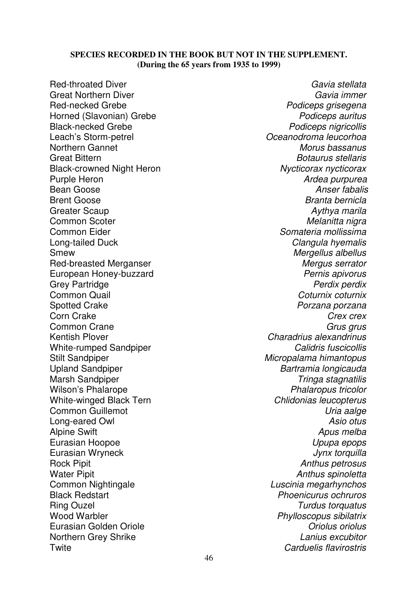### **SPECIES RECORDED IN THE BOOK BUT NOT IN THE SUPPLEMENT. (During the 65 years from 1935 to 1999)**

Red-throated Diver Gavia stellata<br>Great Northern Diver Gavia stellata<br>Gavia immer Great Northern Diver Red-necked Grebe **Podiceps** grisegena<br>
Horned (Slavonian) Grebe **Podiceps** auritus<br>
Podiceps auritus Horned (Slavonian) Grebe<br>Black-necked Grebe Black-necked Grebe **Podiceps nigricollis**<br>
Leach's Storm-petrel exercise the Communic Control of Communications of Communications and Communications of P Northern Gannet Great Bittern **Botaurus stellaris**<br>Black-crowned Night Heron **Black-crowned Night Heron** Black-crowned Night Heron<br>Purple Heron Purple Heron **Ardea purpurea**<br>Bean Goose **Ardea purpurea**<br>Anser fabalis Bean Goose **Anser fabalis**<br>Brent Goose **Anser fabalis**<br>Brent Goose **Anser Fabalis** Greater Scaup **Aythya marila** Common Scoter **Melanitta nigra** Melanitta nigra Common Eider **Somateria** mollissima Long-tailed Duck **Clangula** hyemalis Smew **Mergellus** albellus Red-breasted Merganser Mergus serrator<br>
Red-breasted Merganser Mergus serrator<br>
Mergus serrator Mergus serrator European Honey-buzzard<br>Grev Partridge Grey Partridge **Perdix perdix perdix perdix perdix perdix perdix perdix perdix perdix perdix perdix perdix per**<br>Common Quail **Person and Common Quail** Common Quail Common Quail Common Quail Common Quail Common Coturnix coturnix Common Quail Common Common Common<br>
Sported Crake Common Common Common Common Common Common Common Common Common Common Common Common Common Comm<br> Spotted Crake Spotted Crake Porzana porzana<br>Corn Crake Porzana porzana porzana porzana porzana porzana porzana porzana porzana porzana porzana porzana por Corn Crake Corn Crex crex Common Crane Grus grus Kentish Plover **Charadrius alexandrinus** White-rumped Sandpiper Calidris fuscicollis Stilt Sandpiper **Micropalama** himantopus Upland Sandpiper Bartramia longicauda Marsh Sandpiper **Tringa stagnatilis**<br>
Wilson's Phalarope Communication of the *Tringa stagnatilis* Wilson's Phalarope<br>
White-winged Black Tern<br>
White-winged Black Tern<br>
Chlidonias leucopterus White-winged Black Tern Common Guillemot **Common Cuillemot** Common Guillemot **Uria aalge** Long-eared Owl Alpine Swift Apus melba Eurasian Hoopoe **Upupa epops** Eurasian Wryneck **International Community** Control of *Jynx torquilla* Rock Pipit **Anthus petrosus Anthus petrosus** Water Pipit **Mater** Pipit **Anthus spinoletta** Common Nightingale Luscinia megarhynchos Black Redstart **Phoenicurus ochruros**<br>
Ring Ouzel **Phoenicurus ochruros**<br>
Turdus torquatus Ring Ouzel Turdus torquatus<br>
Wood Warbler **Notational Studies of the United Studies**<br> *Phylloscopus sibilatrix* Eurasian Golden Oriole **Christian Corole Communist Corole Corole Corole Corole Corole Corole Oriolus**<br> **Eurasian Grey Shrike** Corole Corole Corole Corole Corole Corole Corole Corole Corole Corole Corole Corole Corole Corol Northern Grey Shrike Twite Carduelis flavirostris

Oceanodroma leucorhoa<br>Morus bassanus Branta bernicla Phylloscopus sibilatrix<br>Oriolus oriolus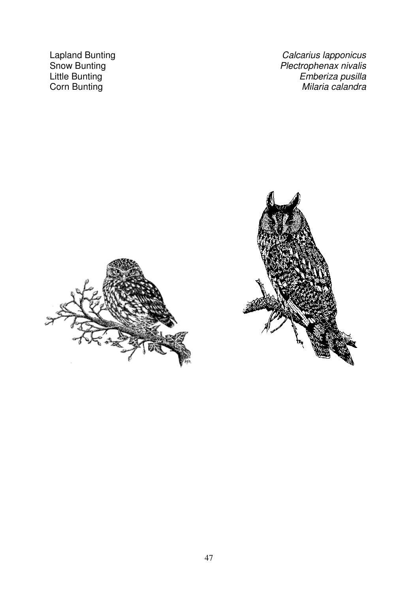Lapland Bunting<br>
Snow Bunting<br>
Snow Bunting<br>
Calcarius lapponicus<br>
Plectrophenax nivalis Snow Bunting<br>
Little Bunting<br>
Little Bunting<br>
Little Bunting<br>
Little Bunting<br>
Plectrophenax nivalis Little Bunting Little Bunting Little Bunting Emberiza pusilla<br>Corn Bunting Emberiza pusilla<br>Milaria calandra Milaria calandra



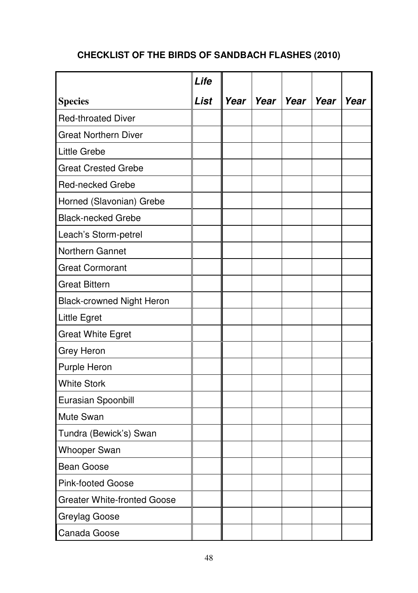# **CHECKLIST OF THE BIRDS OF SANDBACH FLASHES (2010)**

|                                    | Life |                    |      |      |
|------------------------------------|------|--------------------|------|------|
| <b>Species</b>                     | List | Year   Year   Year | Year | Year |
| <b>Red-throated Diver</b>          |      |                    |      |      |
| <b>Great Northern Diver</b>        |      |                    |      |      |
| Little Grebe                       |      |                    |      |      |
| <b>Great Crested Grebe</b>         |      |                    |      |      |
| <b>Red-necked Grebe</b>            |      |                    |      |      |
| Horned (Slavonian) Grebe           |      |                    |      |      |
| <b>Black-necked Grebe</b>          |      |                    |      |      |
| Leach's Storm-petrel               |      |                    |      |      |
| Northern Gannet                    |      |                    |      |      |
| <b>Great Cormorant</b>             |      |                    |      |      |
| <b>Great Bittern</b>               |      |                    |      |      |
| <b>Black-crowned Night Heron</b>   |      |                    |      |      |
| Little Egret                       |      |                    |      |      |
| <b>Great White Egret</b>           |      |                    |      |      |
| Grey Heron                         |      |                    |      |      |
| Purple Heron                       |      |                    |      |      |
| <b>White Stork</b>                 |      |                    |      |      |
| Eurasian Spoonbill                 |      |                    |      |      |
| Mute Swan                          |      |                    |      |      |
| Tundra (Bewick's) Swan             |      |                    |      |      |
| <b>Whooper Swan</b>                |      |                    |      |      |
| <b>Bean Goose</b>                  |      |                    |      |      |
| <b>Pink-footed Goose</b>           |      |                    |      |      |
| <b>Greater White-fronted Goose</b> |      |                    |      |      |
| Greylag Goose                      |      |                    |      |      |
| Canada Goose                       |      |                    |      |      |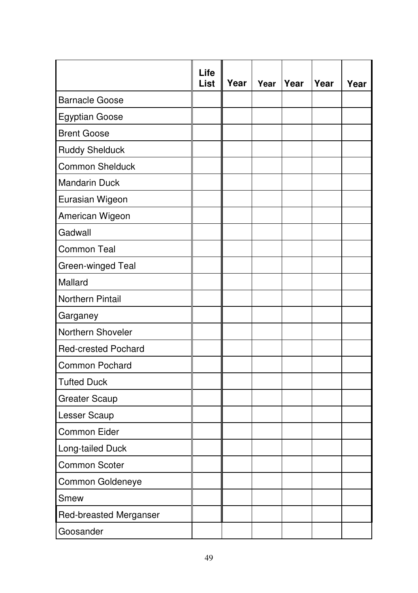|                            | Life<br>List | Year | Year | Year | Year | Year |
|----------------------------|--------------|------|------|------|------|------|
| <b>Barnacle Goose</b>      |              |      |      |      |      |      |
| Egyptian Goose             |              |      |      |      |      |      |
| <b>Brent Goose</b>         |              |      |      |      |      |      |
| <b>Ruddy Shelduck</b>      |              |      |      |      |      |      |
| <b>Common Shelduck</b>     |              |      |      |      |      |      |
| <b>Mandarin Duck</b>       |              |      |      |      |      |      |
| Eurasian Wigeon            |              |      |      |      |      |      |
| American Wigeon            |              |      |      |      |      |      |
| Gadwall                    |              |      |      |      |      |      |
| Common Teal                |              |      |      |      |      |      |
| Green-winged Teal          |              |      |      |      |      |      |
| Mallard                    |              |      |      |      |      |      |
| Northern Pintail           |              |      |      |      |      |      |
| Garganey                   |              |      |      |      |      |      |
| Northern Shoveler          |              |      |      |      |      |      |
| <b>Red-crested Pochard</b> |              |      |      |      |      |      |
| Common Pochard             |              |      |      |      |      |      |
| <b>Tufted Duck</b>         |              |      |      |      |      |      |
| Greater Scaup              |              |      |      |      |      |      |
| Lesser Scaup               |              |      |      |      |      |      |
| Common Eider               |              |      |      |      |      |      |
| Long-tailed Duck           |              |      |      |      |      |      |
| Common Scoter              |              |      |      |      |      |      |
| Common Goldeneye           |              |      |      |      |      |      |
| Smew                       |              |      |      |      |      |      |
| Red-breasted Merganser     |              |      |      |      |      |      |
| Goosander                  |              |      |      |      |      |      |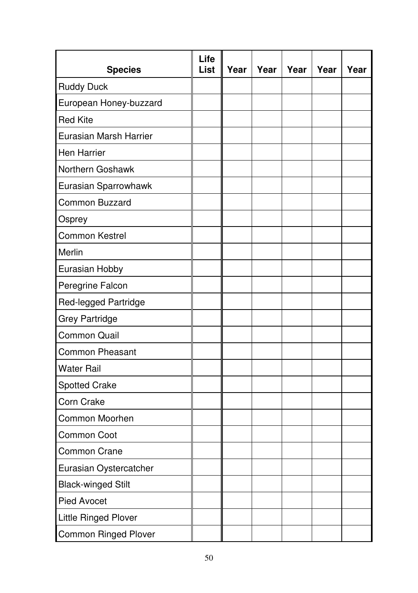| <b>Species</b>              | Life<br>List | Year | Year | Year | Year | Year |
|-----------------------------|--------------|------|------|------|------|------|
| <b>Ruddy Duck</b>           |              |      |      |      |      |      |
| European Honey-buzzard      |              |      |      |      |      |      |
| <b>Red Kite</b>             |              |      |      |      |      |      |
| Eurasian Marsh Harrier      |              |      |      |      |      |      |
| Hen Harrier                 |              |      |      |      |      |      |
| Northern Goshawk            |              |      |      |      |      |      |
| Eurasian Sparrowhawk        |              |      |      |      |      |      |
| Common Buzzard              |              |      |      |      |      |      |
| Osprey                      |              |      |      |      |      |      |
| Common Kestrel              |              |      |      |      |      |      |
| Merlin                      |              |      |      |      |      |      |
| Eurasian Hobby              |              |      |      |      |      |      |
| Peregrine Falcon            |              |      |      |      |      |      |
| Red-legged Partridge        |              |      |      |      |      |      |
| <b>Grey Partridge</b>       |              |      |      |      |      |      |
| Common Quail                |              |      |      |      |      |      |
| <b>Common Pheasant</b>      |              |      |      |      |      |      |
| <b>Water Rail</b>           |              |      |      |      |      |      |
| Spotted Crake               |              |      |      |      |      |      |
| Corn Crake                  |              |      |      |      |      |      |
| Common Moorhen              |              |      |      |      |      |      |
| Common Coot                 |              |      |      |      |      |      |
| Common Crane                |              |      |      |      |      |      |
| Eurasian Oystercatcher      |              |      |      |      |      |      |
| <b>Black-winged Stilt</b>   |              |      |      |      |      |      |
| Pied Avocet                 |              |      |      |      |      |      |
| Little Ringed Plover        |              |      |      |      |      |      |
| <b>Common Ringed Plover</b> |              |      |      |      |      |      |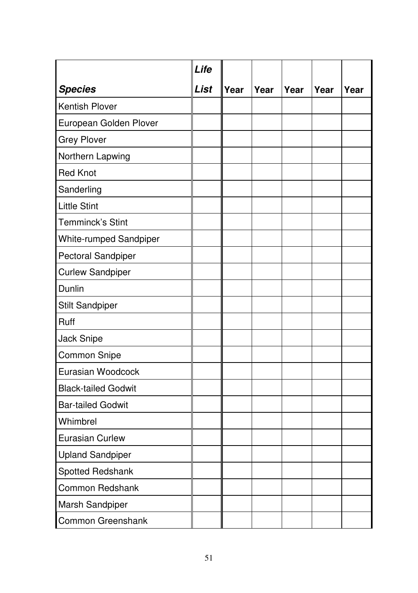|                            | Life |      |      |      |      |      |
|----------------------------|------|------|------|------|------|------|
| <b>Species</b>             | List | Year | Year | Year | Year | Year |
| Kentish Plover             |      |      |      |      |      |      |
| European Golden Plover     |      |      |      |      |      |      |
| <b>Grey Plover</b>         |      |      |      |      |      |      |
| Northern Lapwing           |      |      |      |      |      |      |
| <b>Red Knot</b>            |      |      |      |      |      |      |
| Sanderling                 |      |      |      |      |      |      |
| <b>Little Stint</b>        |      |      |      |      |      |      |
| Temminck's Stint           |      |      |      |      |      |      |
| White-rumped Sandpiper     |      |      |      |      |      |      |
| Pectoral Sandpiper         |      |      |      |      |      |      |
| <b>Curlew Sandpiper</b>    |      |      |      |      |      |      |
| Dunlin                     |      |      |      |      |      |      |
| <b>Stilt Sandpiper</b>     |      |      |      |      |      |      |
| Ruff                       |      |      |      |      |      |      |
| Jack Snipe                 |      |      |      |      |      |      |
| Common Snipe               |      |      |      |      |      |      |
| Eurasian Woodcock          |      |      |      |      |      |      |
| <b>Black-tailed Godwit</b> |      |      |      |      |      |      |
| <b>Bar-tailed Godwit</b>   |      |      |      |      |      |      |
| Whimbrel                   |      |      |      |      |      |      |
| Eurasian Curlew            |      |      |      |      |      |      |
| <b>Upland Sandpiper</b>    |      |      |      |      |      |      |
| Spotted Redshank           |      |      |      |      |      |      |
| Common Redshank            |      |      |      |      |      |      |
| Marsh Sandpiper            |      |      |      |      |      |      |
| Common Greenshank          |      |      |      |      |      |      |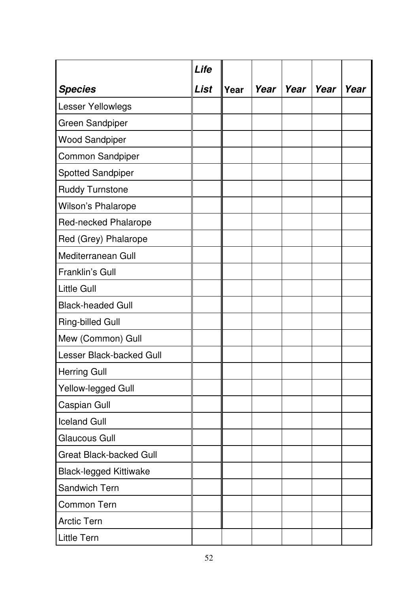|                               | Life |      |      |        |      |      |
|-------------------------------|------|------|------|--------|------|------|
| <b>Species</b>                | List | Year | Year | l Year | Year | Year |
| Lesser Yellowlegs             |      |      |      |        |      |      |
| Green Sandpiper               |      |      |      |        |      |      |
| <b>Wood Sandpiper</b>         |      |      |      |        |      |      |
| Common Sandpiper              |      |      |      |        |      |      |
| Spotted Sandpiper             |      |      |      |        |      |      |
| Ruddy Turnstone               |      |      |      |        |      |      |
| Wilson's Phalarope            |      |      |      |        |      |      |
| Red-necked Phalarope          |      |      |      |        |      |      |
| Red (Grey) Phalarope          |      |      |      |        |      |      |
| Mediterranean Gull            |      |      |      |        |      |      |
| Franklin's Gull               |      |      |      |        |      |      |
| Little Gull                   |      |      |      |        |      |      |
| <b>Black-headed Gull</b>      |      |      |      |        |      |      |
| Ring-billed Gull              |      |      |      |        |      |      |
| Mew (Common) Gull             |      |      |      |        |      |      |
| Lesser Black-backed Gull      |      |      |      |        |      |      |
| <b>Herring Gull</b>           |      |      |      |        |      |      |
| Yellow-legged Gull            |      |      |      |        |      |      |
| Caspian Gull                  |      |      |      |        |      |      |
| <b>Iceland Gull</b>           |      |      |      |        |      |      |
| Glaucous Gull                 |      |      |      |        |      |      |
| Great Black-backed Gull       |      |      |      |        |      |      |
| <b>Black-legged Kittiwake</b> |      |      |      |        |      |      |
| Sandwich Tern                 |      |      |      |        |      |      |
| Common Tern                   |      |      |      |        |      |      |
| Arctic Tern                   |      |      |      |        |      |      |
| <b>Little Tern</b>            |      |      |      |        |      |      |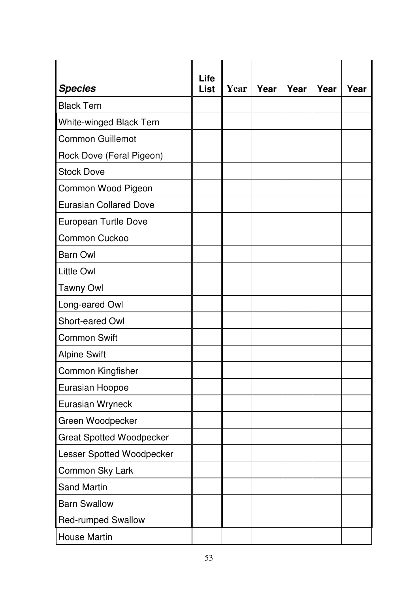| <b>Species</b>                  | Life<br>List | Year | Year | Year | Year | Year |
|---------------------------------|--------------|------|------|------|------|------|
| <b>Black Tern</b>               |              |      |      |      |      |      |
| White-winged Black Tern         |              |      |      |      |      |      |
| Common Guillemot                |              |      |      |      |      |      |
| Rock Dove (Feral Pigeon)        |              |      |      |      |      |      |
| <b>Stock Dove</b>               |              |      |      |      |      |      |
| Common Wood Pigeon              |              |      |      |      |      |      |
| <b>Eurasian Collared Dove</b>   |              |      |      |      |      |      |
| European Turtle Dove            |              |      |      |      |      |      |
| Common Cuckoo                   |              |      |      |      |      |      |
| <b>Barn Owl</b>                 |              |      |      |      |      |      |
| <b>Little Owl</b>               |              |      |      |      |      |      |
| <b>Tawny Owl</b>                |              |      |      |      |      |      |
| Long-eared Owl                  |              |      |      |      |      |      |
| Short-eared Owl                 |              |      |      |      |      |      |
| Common Swift                    |              |      |      |      |      |      |
| <b>Alpine Swift</b>             |              |      |      |      |      |      |
| Common Kingfisher               |              |      |      |      |      |      |
| Eurasian Hoopoe                 |              |      |      |      |      |      |
| Eurasian Wryneck                |              |      |      |      |      |      |
| Green Woodpecker                |              |      |      |      |      |      |
| <b>Great Spotted Woodpecker</b> |              |      |      |      |      |      |
| Lesser Spotted Woodpecker       |              |      |      |      |      |      |
| Common Sky Lark                 |              |      |      |      |      |      |
| Sand Martin                     |              |      |      |      |      |      |
| <b>Barn Swallow</b>             |              |      |      |      |      |      |
| Red-rumped Swallow              |              |      |      |      |      |      |
| House Martin                    |              |      |      |      |      |      |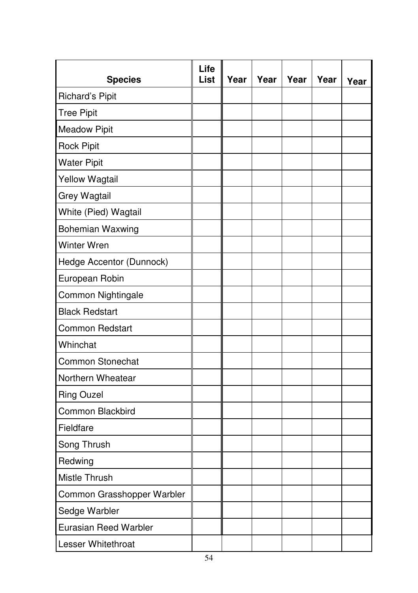| <b>Species</b>             | Life<br>List | Year | Year | Year | Year | Year |
|----------------------------|--------------|------|------|------|------|------|
| Richard's Pipit            |              |      |      |      |      |      |
| <b>Tree Pipit</b>          |              |      |      |      |      |      |
| <b>Meadow Pipit</b>        |              |      |      |      |      |      |
| <b>Rock Pipit</b>          |              |      |      |      |      |      |
| <b>Water Pipit</b>         |              |      |      |      |      |      |
| <b>Yellow Wagtail</b>      |              |      |      |      |      |      |
| Grey Wagtail               |              |      |      |      |      |      |
| White (Pied) Wagtail       |              |      |      |      |      |      |
| <b>Bohemian Waxwing</b>    |              |      |      |      |      |      |
| <b>Winter Wren</b>         |              |      |      |      |      |      |
| Hedge Accentor (Dunnock)   |              |      |      |      |      |      |
| European Robin             |              |      |      |      |      |      |
| Common Nightingale         |              |      |      |      |      |      |
| <b>Black Redstart</b>      |              |      |      |      |      |      |
| Common Redstart            |              |      |      |      |      |      |
| Whinchat                   |              |      |      |      |      |      |
| Common Stonechat           |              |      |      |      |      |      |
| Northern Wheatear          |              |      |      |      |      |      |
| <b>Ring Ouzel</b>          |              |      |      |      |      |      |
| Common Blackbird           |              |      |      |      |      |      |
| Fieldfare                  |              |      |      |      |      |      |
| Song Thrush                |              |      |      |      |      |      |
| Redwing                    |              |      |      |      |      |      |
| Mistle Thrush              |              |      |      |      |      |      |
| Common Grasshopper Warbler |              |      |      |      |      |      |
| Sedge Warbler              |              |      |      |      |      |      |
| Eurasian Reed Warbler      |              |      |      |      |      |      |
| Lesser Whitethroat         |              |      |      |      |      |      |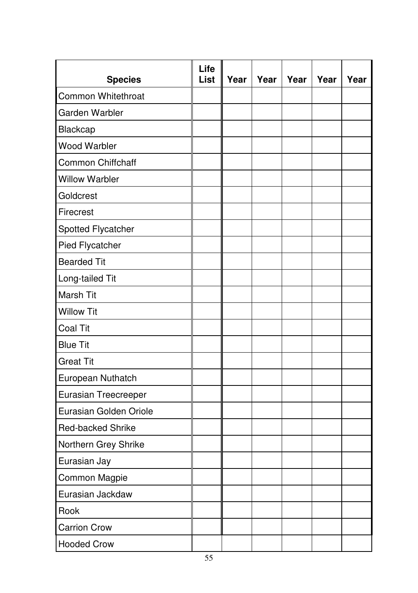| <b>Species</b>         | Life<br>List | Year | Year | Year | Year | Year |
|------------------------|--------------|------|------|------|------|------|
| Common Whitethroat     |              |      |      |      |      |      |
| Garden Warbler         |              |      |      |      |      |      |
| Blackcap               |              |      |      |      |      |      |
| Wood Warbler           |              |      |      |      |      |      |
| Common Chiffchaff      |              |      |      |      |      |      |
| <b>Willow Warbler</b>  |              |      |      |      |      |      |
| Goldcrest              |              |      |      |      |      |      |
| Firecrest              |              |      |      |      |      |      |
| Spotted Flycatcher     |              |      |      |      |      |      |
| Pied Flycatcher        |              |      |      |      |      |      |
| <b>Bearded Tit</b>     |              |      |      |      |      |      |
| Long-tailed Tit        |              |      |      |      |      |      |
| Marsh Tit              |              |      |      |      |      |      |
| <b>Willow Tit</b>      |              |      |      |      |      |      |
| Coal Tit               |              |      |      |      |      |      |
| <b>Blue Tit</b>        |              |      |      |      |      |      |
| <b>Great Tit</b>       |              |      |      |      |      |      |
| European Nuthatch      |              |      |      |      |      |      |
| Eurasian Treecreeper   |              |      |      |      |      |      |
| Eurasian Golden Oriole |              |      |      |      |      |      |
| Red-backed Shrike      |              |      |      |      |      |      |
| Northern Grey Shrike   |              |      |      |      |      |      |
| Eurasian Jay           |              |      |      |      |      |      |
| Common Magpie          |              |      |      |      |      |      |
| Eurasian Jackdaw       |              |      |      |      |      |      |
| Rook                   |              |      |      |      |      |      |
| <b>Carrion Crow</b>    |              |      |      |      |      |      |
| <b>Hooded Crow</b>     |              |      |      |      |      |      |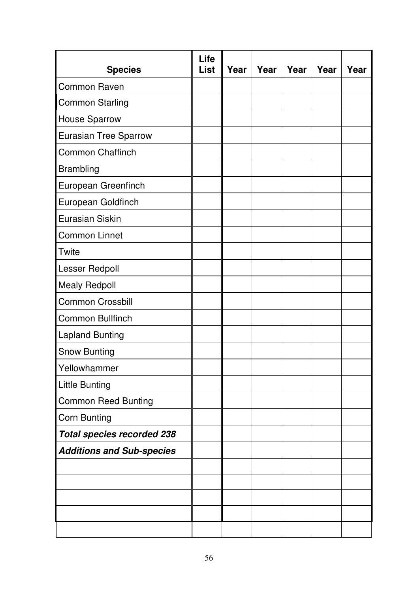| <b>Species</b>                    | Life<br>List | Year | Year | Year | Year | Year |
|-----------------------------------|--------------|------|------|------|------|------|
| Common Raven                      |              |      |      |      |      |      |
| <b>Common Starling</b>            |              |      |      |      |      |      |
| <b>House Sparrow</b>              |              |      |      |      |      |      |
| Eurasian Tree Sparrow             |              |      |      |      |      |      |
| Common Chaffinch                  |              |      |      |      |      |      |
| Brambling                         |              |      |      |      |      |      |
| European Greenfinch               |              |      |      |      |      |      |
| European Goldfinch                |              |      |      |      |      |      |
| Eurasian Siskin                   |              |      |      |      |      |      |
| Common Linnet                     |              |      |      |      |      |      |
| Twite                             |              |      |      |      |      |      |
| Lesser Redpoll                    |              |      |      |      |      |      |
| <b>Mealy Redpoll</b>              |              |      |      |      |      |      |
| Common Crossbill                  |              |      |      |      |      |      |
| Common Bullfinch                  |              |      |      |      |      |      |
| <b>Lapland Bunting</b>            |              |      |      |      |      |      |
| Snow Bunting                      |              |      |      |      |      |      |
| Yellowhammer                      |              |      |      |      |      |      |
| Little Bunting                    |              |      |      |      |      |      |
| <b>Common Reed Bunting</b>        |              |      |      |      |      |      |
| Corn Bunting                      |              |      |      |      |      |      |
| <b>Total species recorded 238</b> |              |      |      |      |      |      |
| <b>Additions and Sub-species</b>  |              |      |      |      |      |      |
|                                   |              |      |      |      |      |      |
|                                   |              |      |      |      |      |      |
|                                   |              |      |      |      |      |      |
|                                   |              |      |      |      |      |      |
|                                   |              |      |      |      |      |      |